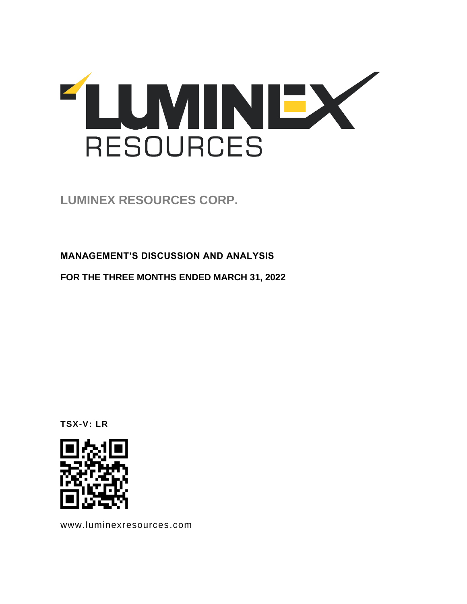

**LUMINEX RESOURCES CORP.** 

**MANAGEMENT'S DISCUSSION AND ANALYSIS**

**FOR THE THREE MONTHS ENDED MARCH 31, 2022**

**TSX-V: LR**



www.luminexresources.com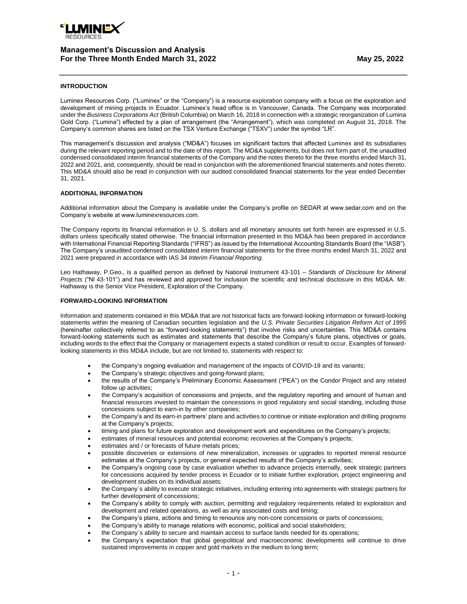

## **INTRODUCTION**

Luminex Resources Corp. ("Luminex" or the "Company") is a resource exploration company with a focus on the exploration and development of mining projects in Ecuador. Luminex's head office is in Vancouver, Canada. The Company was incorporated under the *Business Corporations Act* (British Columbia) on March 16, 2018 in connection with a strategic reorganization of Lumina Gold Corp. ("Lumina") effected by a plan of arrangement (the "Arrangement"), which was completed on August 31, 2018. The Company's common shares are listed on the TSX Venture Exchange ("TSXV") under the symbol "LR".

This management's discussion and analysis ("MD&A") focuses on significant factors that affected Luminex and its subsidiaries during the relevant reporting period and to the date of this report. The MD&A supplements, but does not form part of, the unaudited condensed consolidated interim financial statements of the Company and the notes thereto for the three months ended March 31, 2022 and 2021, and, consequently, should be read in conjunction with the aforementioned financial statements and notes thereto. This MD&A should also be read in conjunction with our audited consolidated financial statements for the year ended December 31, 2021.

### **ADDITIONAL INFORMATION**

Additional information about the Company is available under the Company's profile on SEDAR at www.sedar.com and on the Company's website at www.luminexresources.com.

The Company reports its financial information in U. S. dollars and all monetary amounts set forth herein are expressed in U.S. dollars unless specifically stated otherwise. The financial information presented in this MD&A has been prepared in accordance with International Financial Reporting Standards ("IFRS") as issued by the International Accounting Standards Board (the "IASB"). The Company's unaudited condensed consolidated interim financial statements for the three months ended March 31, 2022 and 2021 were prepared in accordance with IAS 34 *Interim Financial Reporting*.

Leo Hathaway, P.Geo., is a qualified person as defined by National Instrument 43-101 – *Standards of Disclosure for Mineral Projects* ("NI 43-101") and has reviewed and approved for inclusion the scientific and technical disclosure in this MD&A. Mr. Hathaway is the Senior Vice President, Exploration of the Company.

### **FORWARD-LOOKING INFORMATION**

Information and statements contained in this MD&A that are not historical facts are forward-looking information or forward-looking statements within the meaning of Canadian securities legislation and the *U.S. Private Securities Litigation Reform Act of 1995* (hereinafter collectively referred to as "forward-looking statements") that involve risks and uncertainties. This MD&A contains forward-looking statements such as estimates and statements that describe the Company's future plans, objectives or goals, including words to the effect that the Company or management expects a stated condition or result to occur. Examples of forwardlooking statements in this MD&A include, but are not limited to, statements with respect to:

- the Company's ongoing evaluation and management of the impacts of COVID-19 and its variants;
- the Company's strategic objectives and going-forward plans;
- the results of the Company's Preliminary Economic Assessment ("PEA") on the Condor Project and any related follow up activities;
- the Company's acquisition of concessions and projects, and the regulatory reporting and amount of human and financial resources invested to maintain the concessions in good regulatory and social standing, including those concessions subject to earn-in by other companies;
- the Company's and its earn-in partners' plans and activities to continue or initiate exploration and drilling programs at the Company's projects;
- timing and plans for future exploration and development work and expenditures on the Company's projects;
- estimates of mineral resources and potential economic recoveries at the Company's projects;
- estimates and / or forecasts of future metals prices;
- possible discoveries or extensions of new mineralization, increases or upgrades to reported mineral resource estimates at the Company's projects, or general expected results of the Company's activities;
- the Company's ongoing case by case evaluation whether to advance projects internally, seek strategic partners for concessions acquired by tender process in Ecuador or to initiate further exploration, project engineering and development studies on its individual assets;
- the Company´s ability to execute strategic initiatives, including entering into agreements with strategic partners for further development of concessions;
- the Company's ability to comply with auction, permitting and regulatory requirements related to exploration and development and related operations, as well as any associated costs and timing;
- the Company's plans, actions and timing to renounce any non-core concessions or parts of concessions;
- the Company's ability to manage relations with economic, political and social stakeholders;
- the Company´s ability to secure and maintain access to surface lands needed for its operations;
- the Company's expectation that global geopolitical and macroeconomic developments will continue to drive sustained improvements in copper and gold markets in the medium to long term;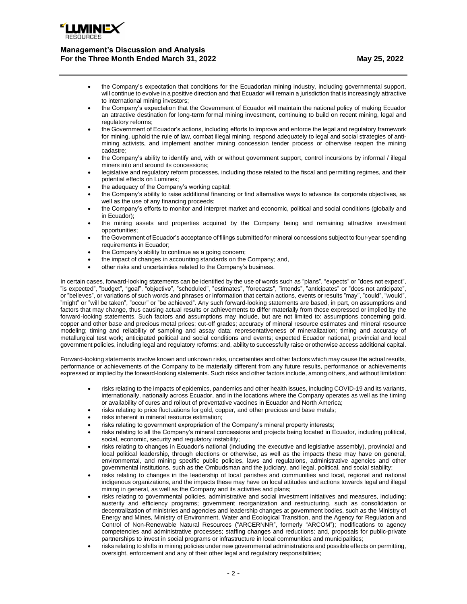

- the Company's expectation that conditions for the Ecuadorian mining industry, including governmental support, will continue to evolve in a positive direction and that Ecuador will remain a jurisdiction that is increasingly attractive to international mining investors;
- the Company's expectation that the Government of Ecuador will maintain the national policy of making Ecuador an attractive destination for long-term formal mining investment, continuing to build on recent mining, legal and regulatory reforms;
- the Government of Ecuador's actions, including efforts to improve and enforce the legal and regulatory framework for mining, uphold the rule of law, combat illegal mining, respond adequately to legal and social strategies of antimining activists, and implement another mining concession tender process or otherwise reopen the mining cadastre;
- the Company's ability to identify and, with or without government support, control incursions by informal / illegal miners into and around its concessions;
- legislative and regulatory reform processes, including those related to the fiscal and permitting regimes, and their potential effects on Luminex;
- the adequacy of the Company's working capital;
- the Company's ability to raise additional financing or find alternative ways to advance its corporate objectives, as well as the use of any financing proceeds;
- the Company's efforts to monitor and interpret market and economic, political and social conditions (globally and in Ecuador);
- the mining assets and properties acquired by the Company being and remaining attractive investment opportunities;
- the Government of Ecuador's acceptance of filings submitted for mineral concessions subject to four-year spending requirements in Ecuador;
- the Company's ability to continue as a going concern;
- the impact of changes in accounting standards on the Company; and,
- other risks and uncertainties related to the Company's business.

In certain cases, forward-looking statements can be identified by the use of words such as "plans", "expects" or "does not expect", "is expected", "budget", "goal", "objective", "scheduled", "estimates", "forecasts", "intends", "anticipates" or "does not anticipate", or "believes", or variations of such words and phrases or information that certain actions, events or results "may", "could", "would", "might" or "will be taken", "occur" or "be achieved". Any such forward-looking statements are based, in part, on assumptions and factors that may change, thus causing actual results or achievements to differ materially from those expressed or implied by the forward-looking statements. Such factors and assumptions may include, but are not limited to: assumptions concerning gold, copper and other base and precious metal prices; cut-off grades; accuracy of mineral resource estimates and mineral resource modeling; timing and reliability of sampling and assay data; representativeness of mineralization; timing and accuracy of metallurgical test work; anticipated political and social conditions and events; expected Ecuador national, provincial and local government policies, including legal and regulatory reforms; and, ability to successfully raise or otherwise access additional capital.

Forward-looking statements involve known and unknown risks, uncertainties and other factors which may cause the actual results, performance or achievements of the Company to be materially different from any future results, performance or achievements expressed or implied by the forward-looking statements. Such risks and other factors include, among others, and without limitation:

- risks relating to the impacts of epidemics, pandemics and other health issues, including COVID-19 and its variants, internationally, nationally across Ecuador, and in the locations where the Company operates as well as the timing or availability of cures and rollout of preventative vaccines in Ecuador and North America;
- risks relating to price fluctuations for gold, copper, and other precious and base metals;
- risks inherent in mineral resource estimation;
- risks relating to government expropriation of the Company's mineral property interests;
- risks relating to all the Company's mineral concessions and projects being located in Ecuador, including political, social, economic, security and regulatory instability;
- risks relating to changes in Ecuador's national (including the executive and legislative assembly), provincial and local political leadership, through elections or otherwise, as well as the impacts these may have on general, environmental, and mining specific public policies, laws and regulations, administrative agencies and other governmental institutions, such as the Ombudsman and the judiciary, and legal, political, and social stability;
- risks relating to changes in the leadership of local parishes and communities and local, regional and national indigenous organizations, and the impacts these may have on local attitudes and actions towards legal and illegal mining in general, as well as the Company and its activities and plans;
- risks relating to governmental policies, administrative and social investment initiatives and measures, including: austerity and efficiency programs; government reorganization and restructuring, such as consolidation or decentralization of ministries and agencies and leadership changes at government bodies, such as the Ministry of Energy and Mines, Ministry of Environment, Water and Ecological Transition, and the Agency for Regulation and Control of Non-Renewable Natural Resources ("ARCERNNR", formerly "ARCOM"); modifications to agency competencies and administrative processes; staffing changes and reductions; and, proposals for public-private partnerships to invest in social programs or infrastructure in local communities and municipalities;
- risks relating to shifts in mining policies under new governmental administrations and possible effects on permitting, oversight, enforcement and any of their other legal and regulatory responsibilities;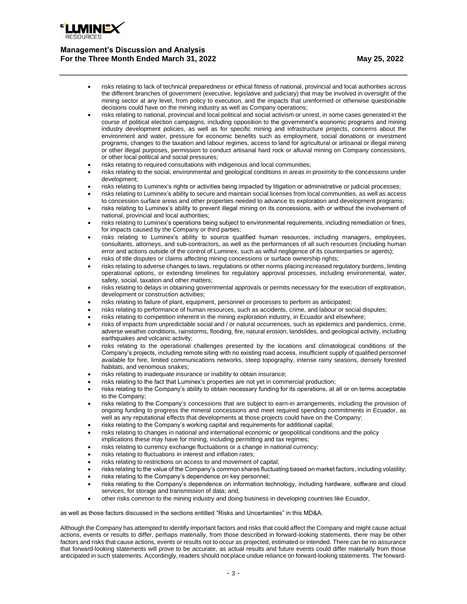

- risks relating to lack of technical preparedness or ethical fitness of national, provincial and local authorities across the different branches of government (executive, legislative and judiciary) that may be involved in oversight of the mining sector at any level, from policy to execution, and the impacts that uninformed or otherwise questionable decisions could have on the mining industry as well as Company operations;
- risks relating to national, provincial and local political and social activism or unrest, in some cases generated in the course of political election campaigns, including opposition to the government's economic programs and mining industry development policies, as well as for specific mining and infrastructure projects, concerns about the environment and water, pressure for economic benefits such as employment, social donations or investment programs, changes to the taxation and labour regimes, access to land for agricultural or artisanal or illegal mining or other illegal purposes, permission to conduct artisanal hard rock or alluvial mining on Company concessions, or other local political and social pressures;
- risks relating to required consultations with indigenous and local communities;
- risks relating to the social, environmental and geological conditions in areas in proximity to the concessions under development;
- risks relating to Luminex's rights or activities being impacted by litigation or administrative or judicial processes;
- risks relating to Luminex's ability to secure and maintain social licenses from local communities, as well as access to concession surface areas and other properties needed to advance its exploration and development programs;
- risks relating to Luminex's ability to prevent illegal mining on its concessions, with or without the involvement of national, provincial and local authorities;
- risks relating to Luminex's operations being subject to environmental requirements, including remediation or fines, for impacts caused by the Company or third parties;
- risks relating to Luminex's ability to source qualified human resources, including managers, employees, consultants, attorneys, and sub-contractors, as well as the performances of all such resources (including human error and actions outside of the control of Luminex, such as wilful negligence of its counterparties or agents);
- risks of title disputes or claims affecting mining concessions or surface ownership rights;
- risks relating to adverse changes to laws, regulations or other norms placing increased regulatory burdens, limiting operational options, or extending timelines for regulatory approval processes, including environmental, water, safety, social, taxation and other matters;
- risks relating to delays in obtaining governmental approvals or permits necessary for the execution of exploration, development or construction activities;
- risks relating to failure of plant, equipment, personnel or processes to perform as anticipated;
- risks relating to performance of human resources, such as accidents, crime, and labour or social disputes;
- risks relating to competition inherent in the mining exploration industry, in Ecuador and elsewhere;
- risks of impacts from unpredictable social and / or natural occurrences, such as epidemics and pandemics, crime, adverse weather conditions, rainstorms, flooding, fire, natural erosion, landslides, and geological activity, including earthquakes and volcanic activity;
- risks relating to the operational challenges presented by the locations and climatological conditions of the Company's projects, including remote siting with no existing road access, insufficient supply of qualified personnel available for hire, limited communications networks, steep topography, intense rainy seasons, densely forested habitats, and venomous snakes;
- risks relating to inadequate insurance or inability to obtain insurance;
- risks relating to the fact that Luminex's properties are not yet in commercial production;
- risks relating to the Company's ability to obtain necessary funding for its operations, at all or on terms acceptable to the Company;
- risks relating to the Company's concessions that are subject to earn-in arrangements, including the provision of ongoing funding to progress the mineral concessions and meet required spending commitments in Ecuador, as well as any reputational effects that developments at those projects could have on the Company;
- risks relating to the Company's working capital and requirements for additional capital;
- risks relating to changes in national and international economic or geopolitical conditions and the policy implications these may have for mining, including permitting and tax regimes;
- risks relating to currency exchange fluctuations or a change in national currency;
- risks relating to fluctuations in interest and inflation rates;
- risks relating to restrictions on access to and movement of capital;
- risks relating to the value of the Company's common shares fluctuating based on market factors, including volatility;
- risks relating to the Company's dependence on key personnel;
- risks relating to the Company's dependence on information technology, including hardware, software and cloud services, for storage and transmission of data; and,
- other risks common to the mining industry and doing business in developing countries like Ecuador,

as well as those factors discussed in the sections entitled "Risks and Uncertainties" in this MD&A.

Although the Company has attempted to identify important factors and risks that could affect the Company and might cause actual actions, events or results to differ, perhaps materially, from those described in forward-looking statements, there may be other factors and risks that cause actions, events or results not to occur as projected, estimated or intended. There can be no assurance that forward-looking statements will prove to be accurate, as actual results and future events could differ materially from those anticipated in such statements. Accordingly, readers should not place undue reliance on forward-looking statements. The forward-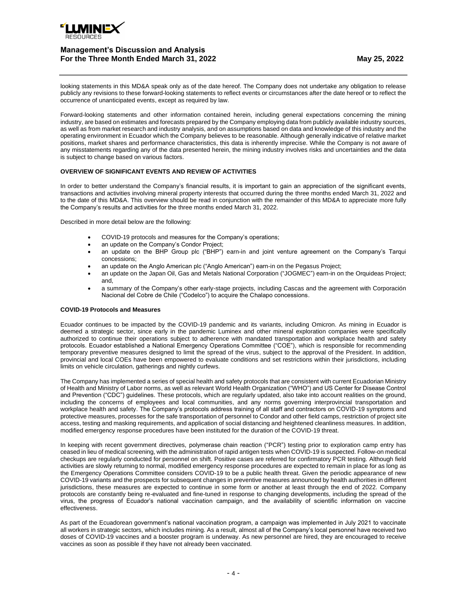

looking statements in this MD&A speak only as of the date hereof. The Company does not undertake any obligation to release publicly any revisions to these forward-looking statements to reflect events or circumstances after the date hereof or to reflect the occurrence of unanticipated events, except as required by law.

Forward-looking statements and other information contained herein, including general expectations concerning the mining industry, are based on estimates and forecasts prepared by the Company employing data from publicly available industry sources, as well as from market research and industry analysis, and on assumptions based on data and knowledge of this industry and the operating environment in Ecuador which the Company believes to be reasonable. Although generally indicative of relative market positions, market shares and performance characteristics, this data is inherently imprecise. While the Company is not aware of any misstatements regarding any of the data presented herein, the mining industry involves risks and uncertainties and the data is subject to change based on various factors.

## **OVERVIEW OF SIGNIFICANT EVENTS AND REVIEW OF ACTIVITIES**

In order to better understand the Company's financial results, it is important to gain an appreciation of the significant events, transactions and activities involving mineral property interests that occurred during the three months ended March 31, 2022 and to the date of this MD&A. This overview should be read in conjunction with the remainder of this MD&A to appreciate more fully the Company's results and activities for the three months ended March 31, 2022.

Described in more detail below are the following:

- COVID-19 protocols and measures for the Company's operations;
- an update on the Company's Condor Project;
- an update on the BHP Group plc ("BHP") earn-in and joint venture agreement on the Company's Tarqui concessions;
- an update on the Anglo American plc ("Anglo American") earn-in on the Pegasus Project;
- an update on the Japan Oil, Gas and Metals National Corporation ("JOGMEC") earn-in on the Orquideas Project; and,
- a summary of the Company's other early-stage projects, including Cascas and the agreement with Corporación Nacional del Cobre de Chile ("Codelco") to acquire the Chalapo concessions.

### **COVID-19 Protocols and Measures**

Ecuador continues to be impacted by the COVID-19 pandemic and its variants, including Omicron. As mining in Ecuador is deemed a strategic sector, since early in the pandemic Luminex and other mineral exploration companies were specifically authorized to continue their operations subject to adherence with mandated transportation and workplace health and safety protocols. Ecuador established a National Emergency Operations Committee ("COE"), which is responsible for recommending temporary preventive measures designed to limit the spread of the virus, subject to the approval of the President. In addition, provincial and local COEs have been empowered to evaluate conditions and set restrictions within their jurisdictions, including limits on vehicle circulation, gatherings and nightly curfews.

The Company has implemented a series of special health and safety protocols that are consistent with current Ecuadorian Ministry of Health and Ministry of Labor norms, as well as relevant World Health Organization ("WHO") and US Center for Disease Control and Prevention ("CDC") guidelines. These protocols, which are regularly updated, also take into account realities on the ground, including the concerns of employees and local communities, and any norms governing interprovincial transportation and workplace health and safety. The Company's protocols address training of all staff and contractors on COVID-19 symptoms and protective measures, processes for the safe transportation of personnel to Condor and other field camps, restriction of project site access, testing and masking requirements, and application of social distancing and heightened cleanliness measures. In addition, modified emergency response procedures have been instituted for the duration of the COVID-19 threat.

In keeping with recent government directives, polymerase chain reaction ("PCR") testing prior to exploration camp entry has ceased in lieu of medical screening, with the administration of rapid antigen tests when COVID-19 is suspected. Follow-on medical checkups are regularly conducted for personnel on shift. Positive cases are referred for confirmatory PCR testing. Although field activities are slowly returning to normal, modified emergency response procedures are expected to remain in place for as long as the Emergency Operations Committee considers COVID-19 to be a public health threat. Given the periodic appearance of new COVID-19 variants and the prospects for subsequent changes in preventive measures announced by health authorities in different jurisdictions, these measures are expected to continue in some form or another at least through the end of 2022. Company protocols are constantly being re-evaluated and fine-tuned in response to changing developments, including the spread of the virus, the progress of Ecuador's national vaccination campaign, and the availability of scientific information on vaccine effectiveness.

As part of the Ecuadorean government's national vaccination program, a campaign was implemented in July 2021 to vaccinate all workers in strategic sectors, which includes mining. As a result, almost all of the Company's local personnel have received two doses of COVID-19 vaccines and a booster program is underway. As new personnel are hired, they are encouraged to receive vaccines as soon as possible if they have not already been vaccinated.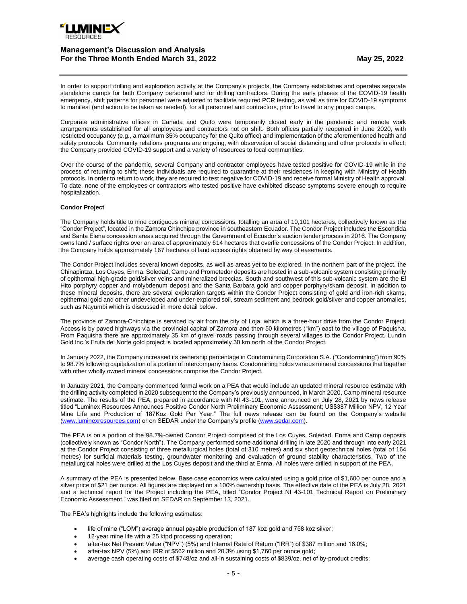

In order to support drilling and exploration activity at the Company's projects, the Company establishes and operates separate standalone camps for both Company personnel and for drilling contractors. During the early phases of the COVID-19 health emergency, shift patterns for personnel were adjusted to facilitate required PCR testing, as well as time for COVID-19 symptoms to manifest (and action to be taken as needed), for all personnel and contractors, prior to travel to any project camps.

Corporate administrative offices in Canada and Quito were temporarily closed early in the pandemic and remote work arrangements established for all employees and contractors not on shift. Both offices partially reopened in June 2020, with restricted occupancy (e.g., a maximum 35% occupancy for the Quito office) and implementation of the aforementioned health and safety protocols. Community relations programs are ongoing, with observation of social distancing and other protocols in effect; the Company provided COVID-19 support and a variety of resources to local communities.

Over the course of the pandemic, several Company and contractor employees have tested positive for COVID-19 while in the process of returning to shift; these individuals are required to quarantine at their residences in keeping with Ministry of Health protocols. In order to return to work, they are required to test negative for COVID-19 and receive formal Ministry of Health approval. To date, none of the employees or contractors who tested positive have exhibited disease symptoms severe enough to require hospitalization.

### **Condor Project**

The Company holds title to nine contiguous mineral concessions, totalling an area of 10,101 hectares, collectively known as the "Condor Project", located in the Zamora Chinchipe province in southeastern Ecuador. The Condor Project includes the Escondida and Santa Elena concession areas acquired through the Government of Ecuador's auction tender process in 2016. The Company owns land / surface rights over an area of approximately 614 hectares that overlie concessions of the Condor Project. In addition, the Company holds approximately 167 hectares of land access rights obtained by way of easements.

The Condor Project includes several known deposits, as well as areas yet to be explored. In the northern part of the project, the Chinapintza, Los Cuyes, Enma, Soledad, Camp and Prometedor deposits are hosted in a sub-volcanic system consisting primarily of epithermal high-grade gold/silver veins and mineralized breccias. South and southwest of this sub-volcanic system are the El Hito porphyry copper and molybdenum deposit and the Santa Barbara gold and copper porphyry/skarn deposit. In addition to these mineral deposits, there are several exploration targets within the Condor Project consisting of gold and iron-rich skarns, epithermal gold and other undeveloped and under-explored soil, stream sediment and bedrock gold/silver and copper anomalies, such as Nayumbi which is discussed in more detail below.

The province of Zamora-Chinchipe is serviced by air from the city of Loja, which is a three-hour drive from the Condor Project. Access is by paved highways via the provincial capital of Zamora and then 50 kilometres ("km") east to the village of Paquisha. From Paquisha there are approximately 35 km of gravel roads passing through several villages to the Condor Project. Lundin Gold Inc.'s Fruta del Norte gold project is located approximately 30 km north of the Condor Project.

In January 2022, the Company increased its ownership percentage in Condormining Corporation S.A. ("Condormining") from 90% to 98.7% following capitalization of a portion of intercompany loans. Condormining holds various mineral concessions that together with other wholly owned mineral concessions comprise the Condor Project.

In January 2021, the Company commenced formal work on a PEA that would include an updated mineral resource estimate with the drilling activity completed in 2020 subsequent to the Company's previously announced, in March 2020, Camp mineral resource estimate. The results of the PEA, prepared in accordance with NI 43-101, were announced on July 28, 2021 by news release titled "Luminex Resources Announces Positive Condor North Preliminary Economic Assessment; US\$387 Million NPV, 12 Year Mine Life and Production of 187Koz Gold Per Year." The full news release can be found on the Company's website [\(www.luminexresources.com\)](http://www.luminexresources.com/) or on SEDAR under the Company's profile [\(www.sedar.com\).](http://www.sedar.com/)

The PEA is on a portion of the 98.7%-owned Condor Project comprised of the Los Cuyes, Soledad, Enma and Camp deposits (collectively known as "Condor North"). The Company performed some additional drilling in late 2020 and through into early 2021 at the Condor Project consisting of three metallurgical holes (total of 310 metres) and six short geotechnical holes (total of 164 metres) for surficial materials testing, groundwater monitoring and evaluation of ground stability characteristics. Two of the metallurgical holes were drilled at the Los Cuyes deposit and the third at Enma. All holes were drilled in support of the PEA.

A summary of the PEA is presented below. Base case economics were calculated using a gold price of \$1,600 per ounce and a silver price of \$21 per ounce. All figures are displayed on a 100% ownership basis. The effective date of the PEA is July 28, 2021 and a technical report for the Project including the PEA, titled "Condor Project NI 43-101 Technical Report on Preliminary Economic Assessment," was filed on SEDAR on September 13, 2021.

The PEA's highlights include the following estimates:

- life of mine ("LOM") average annual payable production of 187 koz gold and 758 koz silver;
- 12-year mine life with a 25 ktpd processing operation;
- after-tax Net Present Value ("NPV") (5%) and Internal Rate of Return ("IRR") of \$387 million and 16.0%;
	- after-tax NPV (5%) and IRR of \$562 million and 20.3% using \$1,760 per ounce gold;
- average cash operating costs of \$748/oz and all-in sustaining costs of \$839/oz, net of by-product credits;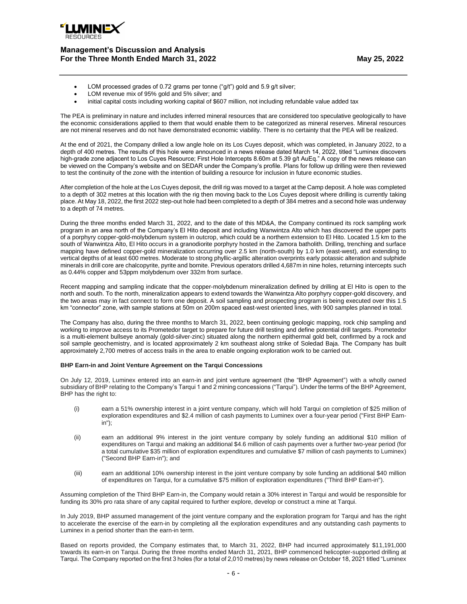

- LOM processed grades of 0.72 grams per tonne ("g/t") gold and 5.9 g/t silver;
- LOM revenue mix of 95% gold and 5% silver; and
- initial capital costs including working capital of \$607 million, not including refundable value added tax

The PEA is preliminary in nature and includes inferred mineral resources that are considered too speculative geologically to have the economic considerations applied to them that would enable them to be categorized as mineral reserves. Mineral resources are not mineral reserves and do not have demonstrated economic viability. There is no certainty that the PEA will be realized.

At the end of 2021, the Company drilled a low angle hole on its Los Cuyes deposit, which was completed, in January 2022, to a depth of 400 metres. The results of this hole were announced in a news release dated March 14, 2022, titled "Luminex discovers high-grade zone adjacent to Los Cuyes Resource; First Hole Intercepts 8.60m at 5.39 g/t AuEq." A copy of the news release can be viewed on the Company's website and on SEDAR under the Company's profile. Plans for follow up drilling were then reviewed to test the continuity of the zone with the intention of building a resource for inclusion in future economic studies.

After completion of the hole at the Los Cuyes deposit, the drill rig was moved to a target at the Camp deposit. A hole was completed to a depth of 302 metres at this location with the rig then moving back to the Los Cuyes deposit where drilling is currently taking place. At May 18, 2022, the first 2022 step-out hole had been completed to a depth of 384 metres and a second hole was underway to a depth of 74 metres.

During the three months ended March 31, 2022, and to the date of this MD&A, the Company continued its rock sampling work program in an area north of the Company's El Hito deposit and including Wanwintza Alto which has discovered the upper parts of a porphyry copper-gold-molybdenum system in outcrop, which could be a northern extension to El Hito. Located 1.5 km to the south of Wanwintza Alto, El Hito occurs in a granodiorite porphyry hosted in the Zamora batholith. Drilling, trenching and surface mapping have defined copper-gold mineralization occurring over 2.5 km (north-south) by 1.0 km (east-west), and extending to vertical depths of at least 600 metres. Moderate to strong phyllic-argillic alteration overprints early potassic alteration and sulphide minerals in drill core are chalcopyrite, pyrite and bornite. Previous operators drilled 4,687m in nine holes, returning intercepts such as 0.44% copper and 53ppm molybdenum over 332m from surface.

Recent mapping and sampling indicate that the copper-molybdenum mineralization defined by drilling at El Hito is open to the north and south. To the north, mineralization appears to extend towards the Wanwintza Alto porphyry copper-gold discovery, and the two areas may in fact connect to form one deposit. A soil sampling and prospecting program is being executed over this 1.5 km "connector" zone, with sample stations at 50m on 200m spaced east-west oriented lines, with 900 samples planned in total.

The Company has also, during the three months to March 31, 2022, been continuing geologic mapping, rock chip sampling and working to improve access to its Prometedor target to prepare for future drill testing and define potential drill targets. Prometedor is a multi-element bullseye anomaly (gold-silver-zinc) situated along the northern epithermal gold belt, confirmed by a rock and soil sample geochemistry, and is located approximately 2 km southeast along strike of Soledad Baja. The Company has built approximately 2,700 metres of access trails in the area to enable ongoing exploration work to be carried out.

### **BHP Earn-in and Joint Venture Agreement on the Tarqui Concessions**

On July 12, 2019, Luminex entered into an earn-in and joint venture agreement (the "BHP Agreement") with a wholly owned subsidiary of BHP relating to the Company's Tarqui 1 and 2 mining concessions ("Tarqui"). Under the terms of the BHP Agreement, BHP has the right to:

- (i) earn a 51% ownership interest in a joint venture company, which will hold Tarqui on completion of \$25 million of exploration expenditures and \$2.4 million of cash payments to Luminex over a four-year period ("First BHP Earnin");
- (ii) earn an additional 9% interest in the joint venture company by solely funding an additional \$10 million of expenditures on Tarqui and making an additional \$4.6 million of cash payments over a further two-year period (for a total cumulative \$35 million of exploration expenditures and cumulative \$7 million of cash payments to Luminex) ("Second BHP Earn-in"); and
- (iii) earn an additional 10% ownership interest in the joint venture company by sole funding an additional \$40 million of expenditures on Tarqui, for a cumulative \$75 million of exploration expenditures ("Third BHP Earn-in").

Assuming completion of the Third BHP Earn-in, the Company would retain a 30% interest in Tarqui and would be responsible for funding its 30% pro rata share of any capital required to further explore, develop or construct a mine at Tarqui.

In July 2019, BHP assumed management of the joint venture company and the exploration program for Tarqui and has the right to accelerate the exercise of the earn-in by completing all the exploration expenditures and any outstanding cash payments to Luminex in a period shorter than the earn-in term.

Based on reports provided, the Company estimates that, to March 31, 2022, BHP had incurred approximately \$11,191,000 towards its earn-in on Tarqui. During the three months ended March 31, 2021, BHP commenced helicopter-supported drilling at Tarqui. The Company reported on the first 3 holes (for a total of 2,010 metres) by news release on October 18, 2021 titled "Luminex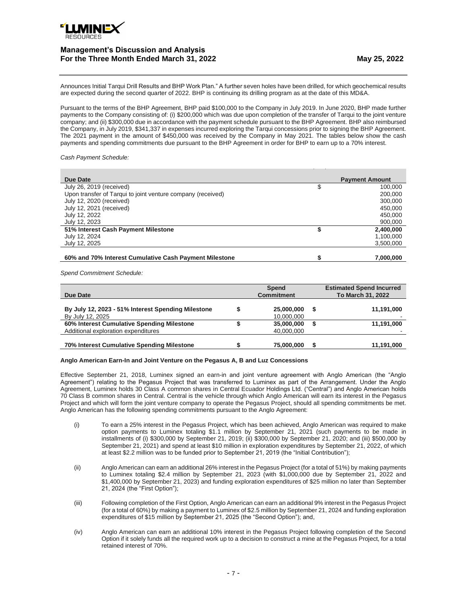

Announces Initial Tarqui Drill Results and BHP Work Plan." A further seven holes have been drilled, for which geochemical results are expected during the second quarter of 2022. BHP is continuing its drilling program as at the date of this MD&A.

Pursuant to the terms of the BHP Agreement, BHP paid \$100,000 to the Company in July 2019. In June 2020, BHP made further payments to the Company consisting of: (i) \$200,000 which was due upon completion of the transfer of Tarqui to the joint venture company; and (ii) \$300,000 due in accordance with the payment schedule pursuant to the BHP Agreement. BHP also reimbursed the Company, in July 2019, \$341,337 in expenses incurred exploring the Tarqui concessions prior to signing the BHP Agreement. The 2021 payment in the amount of \$450,000 was received by the Company in May 2021. The tables below show the cash payments and spending commitments due pursuant to the BHP Agreement in order for BHP to earn up to a 70% interest.

### *Cash Payment Schedule:*

| Due Date                                                    |   | <b>Payment Amount</b> |
|-------------------------------------------------------------|---|-----------------------|
| July 26, 2019 (received)                                    | S | 100,000               |
| Upon transfer of Tarqui to joint venture company (received) |   | 200,000               |
| July 12, 2020 (received)                                    |   | 300,000               |
| July 12, 2021 (received)                                    |   | 450,000               |
| July 12, 2022                                               |   | 450,000               |
| July 12, 2023                                               |   | 900,000               |
| 51% Interest Cash Payment Milestone                         |   | 2,400,000             |
| July 12, 2024                                               |   | 1,100,000             |
| July 12, 2025                                               |   | 3,500,000             |
|                                                             |   |                       |
| 60% and 70% Interest Cumulative Cash Payment Milestone      |   | 7,000,000             |

*Spend Commitment Schedule:*

| Due Date                                                                          | <b>Spend</b><br><b>Commitment</b> | <b>Estimated Spend Incurred</b><br>To March 31, 2022 |
|-----------------------------------------------------------------------------------|-----------------------------------|------------------------------------------------------|
| By July 12, 2023 - 51% Interest Spending Milestone<br>By July 12, 2025            | 25,000,000<br>10,000,000          | 11,191,000                                           |
| 60% Interest Cumulative Spending Milestone<br>Additional exploration expenditures | 35,000,000<br>40,000,000          | 11,191,000                                           |
| 70% Interest Cumulative Spending Milestone                                        | 75,000,000                        | 11,191,000                                           |

### **Anglo American Earn-In and Joint Venture on the Pegasus A, B and Luz Concessions**

Effective September 21, 2018, Luminex signed an earn-in and joint venture agreement with Anglo American (the "Anglo Agreement") relating to the Pegasus Project that was transferred to Luminex as part of the Arrangement. Under the Anglo Agreement, Luminex holds 30 Class A common shares in Central Ecuador Holdings Ltd. ("Central") and Anglo American holds 70 Class B common shares in Central. Central is the vehicle through which Anglo American will earn its interest in the Pegasus Project and which will form the joint venture company to operate the Pegasus Project, should all spending commitments be met. Anglo American has the following spending commitments pursuant to the Anglo Agreement:

- (i) To earn a 25% interest in the Pegasus Project, which has been achieved, Anglo American was required to make option payments to Luminex totaling \$1.1 million by September 21, 2021 (such payments to be made in installments of (i) \$300,000 by September 21, 2019; (ii) \$300,000 by September 21, 2020; and (iii) \$500,000 by September 21, 2021) and spend at least \$10 million in exploration expenditures by September 21, 2022, of which at least \$2.2 million was to be funded prior to September 21, 2019 (the "Initial Contribution");
- (ii) Anglo American can earn an additional 26% interest in the Pegasus Project (for a total of 51%) by making payments to Luminex totaling \$2.4 million by September 21, 2023 (with \$1,000,000 due by September 21, 2022 and \$1,400,000 by September 21, 2023) and funding exploration expenditures of \$25 million no later than September 21, 2024 (the "First Option");
- (iii) Following completion of the First Option, Anglo American can earn an additional 9% interest in the Pegasus Project (for a total of 60%) by making a payment to Luminex of \$2.5 million by September 21, 2024 and funding exploration expenditures of \$15 million by September 21, 2025 (the "Second Option"); and,
- (iv) Anglo American can earn an additional 10% interest in the Pegasus Project following completion of the Second Option if it solely funds all the required work up to a decision to construct a mine at the Pegasus Project, for a total retained interest of 70%.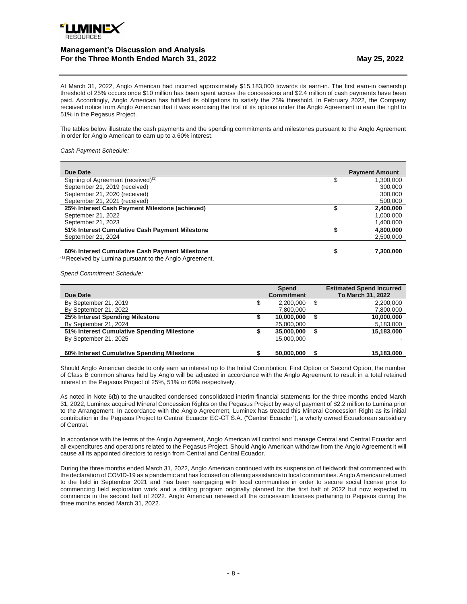

At March 31, 2022, Anglo American had incurred approximately \$15,183,000 towards its earn-in. The first earn-in ownership threshold of 25% occurs once \$10 million has been spent across the concessions and \$2.4 million of cash payments have been paid. Accordingly, Anglo American has fulfilled its obligations to satisfy the 25% threshold. In February 2022, the Company received notice from Anglo American that it was exercising the first of its options under the Anglo Agreement to earn the right to 51% in the Pegasus Project.

The tables below illustrate the cash payments and the spending commitments and milestones pursuant to the Anglo Agreement in order for Anglo American to earn up to a 60% interest.

*Cash Payment Schedule:*

| Due Date                                       | <b>Payment Amount</b> |
|------------------------------------------------|-----------------------|
| Signing of Agreement (received) <sup>(1)</sup> | 1.300.000             |
| September 21, 2019 (received)                  | 300,000               |
| September 21, 2020 (received)                  | 300,000               |
| September 21, 2021 (received)                  | 500,000               |
| 25% Interest Cash Payment Milestone (achieved) | 2.400.000             |
| September 21, 2022                             | 1.000.000             |
| September 21, 2023                             | 1,400,000             |
| 51% Interest Cumulative Cash Payment Milestone | 4,800,000             |
| September 21, 2024                             | 2,500,000             |
|                                                |                       |
| 60% Interest Cumulative Cash Payment Milestone | 7.300.000             |

 $(1)$  Received by Lumina pursuant to the Anglo Agreement.

*Spend Commitment Schedule:*

| Due Date                                   |     | Spend<br><b>Commitment</b> |   | <b>Estimated Spend Incurred</b><br>To March 31, 2022 |
|--------------------------------------------|-----|----------------------------|---|------------------------------------------------------|
| By September 21, 2019                      | \$. | 2.200.000                  | S | 2.200.000                                            |
| By September 21, 2022                      |     | 7,800,000                  |   | 7,800,000                                            |
| 25% Interest Spending Milestone            |     | 10.000.000                 |   | 10,000,000                                           |
| By September 21, 2024                      |     | 25,000,000                 |   | 5,183,000                                            |
| 51% Interest Cumulative Spending Milestone |     | 35,000,000                 |   | 15,183,000                                           |
| By September 21, 2025                      |     | 15,000,000                 |   |                                                      |
|                                            |     |                            |   |                                                      |
| 60% Interest Cumulative Spending Milestone |     | 50.000.000                 |   | 15.183.000                                           |

Should Anglo American decide to only earn an interest up to the Initial Contribution, First Option or Second Option, the number of Class B common shares held by Anglo will be adjusted in accordance with the Anglo Agreement to result in a total retained interest in the Pegasus Project of 25%, 51% or 60% respectively.

As noted in Note 6(b) to the unaudited condensed consolidated interim financial statements for the three months ended March 31, 2022, Luminex acquired Mineral Concession Rights on the Pegasus Project by way of payment of \$2.2 million to Lumina prior to the Arrangement. In accordance with the Anglo Agreement, Luminex has treated this Mineral Concession Right as its initial contribution in the Pegasus Project to Central Ecuador EC-CT S.A. ("Central Ecuador"), a wholly owned Ecuadorean subsidiary of Central.

In accordance with the terms of the Anglo Agreement, Anglo American will control and manage Central and Central Ecuador and all expenditures and operations related to the Pegasus Project. Should Anglo American withdraw from the Anglo Agreement it will cause all its appointed directors to resign from Central and Central Ecuador.

During the three months ended March 31, 2022, Anglo American continued with its suspension of fieldwork that commenced with the declaration of COVID-19 as a pandemic and has focused on offering assistance to local communities. Anglo American returned to the field in September 2021 and has been reengaging with local communities in order to secure social license prior to commencing field exploration work and a drilling program originally planned for the first half of 2022 but now expected to commence in the second half of 2022. Anglo American renewed all the concession licenses pertaining to Pegasus during the three months ended March 31, 2022.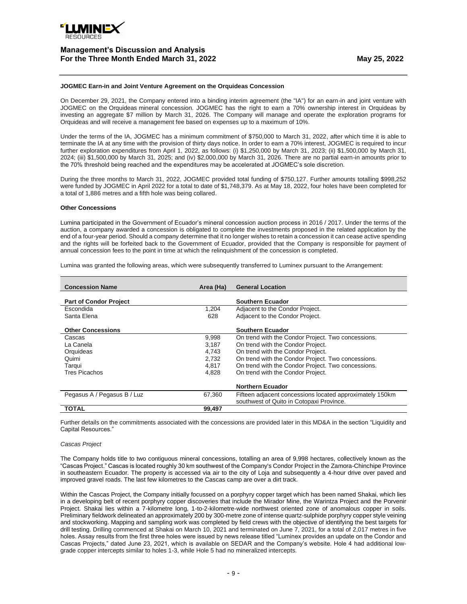

#### **JOGMEC Earn-in and Joint Venture Agreement on the Orquideas Concession**

On December 29, 2021, the Company entered into a binding interim agreement (the "IA") for an earn-in and joint venture with JOGMEC on the [Orquideas](https://luminexresources.com/projects/orquideas-cascas-earn-in/) mineral concession. JOGMEC has the right to earn a 70% ownership interest in Orquideas by investing an aggregate \$7 million by March 31, 2026. The Company will manage and operate the exploration programs for Orquideas and will receive a management fee based on expenses up to a maximum of 10%.

Under the terms of the IA, JOGMEC has a minimum commitment of \$750,000 to March 31, 2022, after which time it is able to terminate the IA at any time with the provision of thirty days notice. In order to earn a 70% interest, JOGMEC is required to incur further exploration expenditures from April 1, 2022, as follows: (i) \$1,250,000 by March 31, 2023; (ii) \$1,500,000 by March 31, 2024; (iii) \$1,500,000 by March 31, 2025; and (iv) \$2,000,000 by March 31, 2026. There are no partial earn-in amounts prior to the 70% threshold being reached and the expenditures may be accelerated at JOGMEC's sole discretion.

During the three months to March 31, 2022, JOGMEC provided total funding of \$750,127. Further amounts totalling \$998,252 were funded by JOGMEC in April 2022 for a total to date of \$1,748,379. As at May 18, 2022, four holes have been completed for a total of 1,886 metres and a fifth hole was being collared.

#### **Other Concessions**

Lumina participated in the Government of Ecuador's mineral concession auction process in 2016 / 2017. Under the terms of the auction, a company awarded a concession is obligated to complete the investments proposed in the related application by the end of a four-year period. Should a company determine that it no longer wishes to retain a concession it can cease active spending and the rights will be forfeited back to the Government of Ecuador, provided that the Company is responsible for payment of annual concession fees to the point in time at which the relinquishment of the concession is completed.

Lumina was granted the following areas, which were subsequently transferred to Luminex pursuant to the Arrangement:

| <b>Concession Name</b>        | Area (Ha) | <b>General Location</b>                                  |
|-------------------------------|-----------|----------------------------------------------------------|
| <b>Part of Condor Project</b> |           | Southern Ecuador                                         |
| Escondida                     | 1,204     | Adjacent to the Condor Project.                          |
|                               |           |                                                          |
| Santa Elena                   | 628       | Adjacent to the Condor Project.                          |
|                               |           |                                                          |
| <b>Other Concessions</b>      |           | Southern Ecuador                                         |
| Cascas                        | 9,998     | On trend with the Condor Project. Two concessions.       |
| La Canela                     | 3,187     | On trend with the Condor Project.                        |
| Orquideas                     | 4.743     | On trend with the Condor Project.                        |
| Quimi                         | 2.732     | On trend with the Condor Project. Two concessions.       |
| Tarqui                        | 4.817     | On trend with the Condor Project. Two concessions.       |
| <b>Tres Picachos</b>          | 4.828     | On trend with the Condor Project.                        |
|                               |           |                                                          |
|                               |           | <b>Northern Ecuador</b>                                  |
| Pegasus A / Pegasus B / Luz   | 67,360    | Fifteen adjacent concessions located approximately 150km |
|                               |           | southwest of Quito in Cotopaxi Province.                 |
| <b>TOTAL</b>                  | 99,497    |                                                          |
|                               |           |                                                          |

Further details on the commitments associated with the concessions are provided later in this MD&A in the section "Liquidity and Capital Resources."

#### *Cascas Project*

The Company holds title to two contiguous mineral concessions, totalling an area of 9,998 hectares, collectively known as the "Cascas Project." Cascas is located roughly 30 km southwest of the Company's Condor Project in the Zamora-Chinchipe Province in southeastern Ecuador. The property is accessed via air to the city of Loja and subsequently a 4-hour drive over paved and improved gravel roads. The last few kilometres to the Cascas camp are over a dirt track.

Within the Cascas Project, the Company initially focussed on a porphyry copper target which has been named Shakai, which lies in a developing belt of recent porphyry copper discoveries that include the Mirador Mine, the Warintza Project and the Porvenir Project. Shakai lies within a 7-kilometre long, 1-to-2-kilometre-wide northwest oriented zone of anomalous copper in soils. Preliminary fieldwork delineated an approximately 200 by 300-metre zone of intense quartz-sulphide porphyry copper style veining and stockworking. Mapping and sampling work was completed by field crews with the objective of identifying the best targets for drill testing. Drilling commenced at Shakai on March 10, 2021 and terminated on June 7, 2021, for a total of 2,017 metres in five holes. Assay results from the first three holes were issued by news release titled "Luminex provides an update on the Condor and Cascas Projects," dated June 23, 2021, which is available on SEDAR and the Company's website. Hole 4 had additional lowgrade copper intercepts similar to holes 1-3, while Hole 5 had no mineralized intercepts.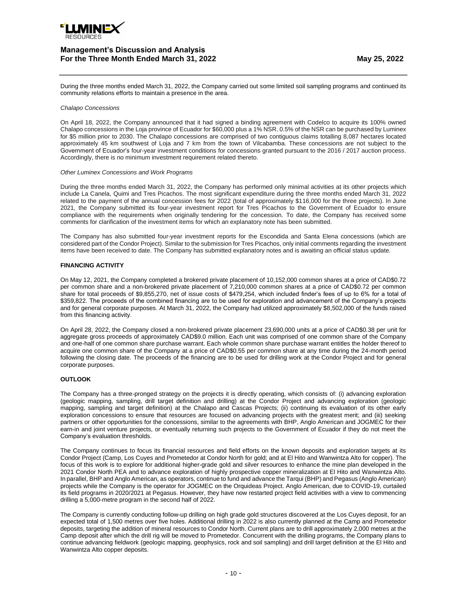

During the three months ended March 31, 2022, the Company carried out some limited soil sampling programs and continued its community relations efforts to maintain a presence in the area.

### *Chalapo Concessions*

On April 18, 2022, the Company announced that it had signed a binding agreement with Codelco to acquire its 100% owned Chalapo concessions in the Loja province of Ecuador for \$60,000 plus a 1% NSR. 0.5% of the NSR can be purchased by Luminex for \$5 million prior to 2030. The Chalapo concessions are comprised of two contiguous claims totalling 8,087 hectares located approximately 45 km southwest of Loja and 7 km from the town of Vilcabamba. These concessions are not subject to the Government of Ecuador's four-year investment conditions for concessions granted pursuant to the 2016 / 2017 auction process. Accordingly, there is no minimum investment requirement related thereto.

#### *Other Luminex Concessions and Work Programs*

During the three months ended March 31, 2022, the Company has performed only minimal activities at its other projects which include La Canela, Quimi and Tres Picachos. The most significant expenditure during the three months ended March 31, 2022 related to the payment of the annual concession fees for 2022 (total of approximately \$116,000 for the three projects). In June 2021, the Company submitted its four-year investment report for Tres Picachos to the Government of Ecuador to ensure compliance with the requirements when originally tendering for the concession. To date, the Company has received some comments for clarification of the investment items for which an explanatory note has been submitted.

The Company has also submitted four-year investment reports for the Escondida and Santa Elena concessions (which are considered part of the Condor Project). Similar to the submission for Tres Picachos, only initial comments regarding the investment items have been received to date. The Company has submitted explanatory notes and is awaiting an official status update.

### **FINANCING ACTIVITY**

On May 12, 2021, the Company completed a brokered private placement of 10,152,000 common shares at a price of CAD\$0.72 per common share and a non-brokered private placement of 7,210,000 common shares at a price of CAD\$0.72 per common share for total proceeds of \$9,855,270, net of issue costs of \$479,254, which included finder's fees of up to 6% for a total of \$359,822. The proceeds of the combined financing are to be used for exploration and advancement of the Company's projects and for general corporate purposes. At March 31, 2022, the Company had utilized approximately \$8,502,000 of the funds raised from this financing activity.

On April 28, 2022, the Company closed a non-brokered private placement 23,690,000 units at a price of CAD\$0.38 per unit for aggregate gross proceeds of approximately CAD\$9.0 million. Each unit was comprised of one common share of the Company and one-half of one common share purchase warrant. Each whole common share purchase warrant entitles the holder thereof to acquire one common share of the Company at a price of CAD\$0.55 per common share at any time during the 24-month period following the closing date. The proceeds of the financing are to be used for drilling work at the [Condor](https://luminexresources.com/projects/condor-project/overview/) Project and for general corporate purposes.

## **OUTLOOK**

The Company has a three-pronged strategy on the projects it is directly operating, which consists of: (i) advancing exploration (geologic mapping, sampling, drill target definition and drilling) at the Condor Project and advancing exploration (geologic mapping, sampling and target definition) at the Chalapo and Cascas Projects; (ii) continuing its evaluation of its other early exploration concessions to ensure that resources are focused on advancing projects with the greatest merit; and (iii) seeking partners or other opportunities for the concessions, similar to the agreements with BHP, Anglo American and JOGMEC for their earn-in and joint venture projects, or eventually returning such projects to the Government of Ecuador if they do not meet the Company's evaluation thresholds.

The Company continues to focus its financial resources and field efforts on the known deposits and exploration targets at its Condor Project (Camp, Los Cuyes and Prometedor at Condor North for gold; and at El Hito and Wanwintza Alto for copper). The focus of this work is to explore for additional higher-grade gold and silver resources to enhance the mine plan developed in the 2021 Condor North PEA and to advance exploration of highly prospective copper mineralization at El Hito and Wanwintza Alto. In parallel, BHP and Anglo American, as operators, continue to fund and advance the Tarqui (BHP) and Pegasus (Anglo American) projects while the Company is the operator for JOGMEC on the Orquideas Project. Anglo American, due to COVID-19, curtailed its field programs in 2020/2021 at Pegasus. However, they have now restarted project field activities with a view to commencing drilling a 5,000-metre program in the second half of 2022.

The Company is currently conducting follow-up drilling on high grade gold structures discovered at the Los Cuyes deposit, for an expected total of 1,500 metres over five holes. Additional drilling in 2022 is also currently planned at the Camp and Prometedor deposits, targeting the addition of mineral resources to Condor North. Current plans are to drill approximately 2,000 metres at the Camp deposit after which the drill rig will be moved to Prometedor. Concurrent with the drilling programs, the Company plans to continue advancing fieldwork (geologic mapping, geophysics, rock and soil sampling) and drill target definition at the El Hito and Wanwintza Alto copper deposits.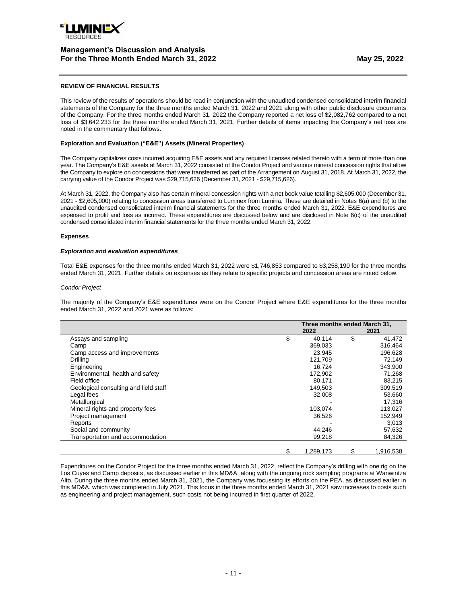

## **REVIEW OF FINANCIAL RESULTS**

This review of the results of operations should be read in conjunction with the unaudited condensed consolidated interim financial statements of the Company for the three months ended March 31, 2022 and 2021 along with other public disclosure documents of the Company. For the three months ended March 31, 2022 the Company reported a net loss of \$2,082,762 compared to a net loss of \$3,642,233 for the three months ended March 31, 2021. Further details of items impacting the Company's net loss are noted in the commentary that follows.

## **Exploration and Evaluation ("E&E") Assets (Mineral Properties)**

The Company capitalizes costs incurred acquiring E&E assets and any required licenses related thereto with a term of more than one year. The Company's E&E assets at March 31, 2022 consisted of the Condor Project and various mineral concession rights that allow the Company to explore on concessions that were transferred as part of the Arrangement on August 31, 2018. At March 31, 2022, the carrying value of the Condor Project was \$29,715,626 (December 31, 2021 - \$29,715,626).

At March 31, 2022, the Company also has certain mineral concession rights with a net book value totalling \$2,605,000 (December 31, 2021 - \$2,605,000) relating to concession areas transferred to Luminex from Lumina. These are detailed in Notes 6(a) and (b) to the unaudited condensed consolidated interim financial statements for the three months ended March 31, 2022. E&E expenditures are expensed to profit and loss as incurred. These expenditures are discussed below and are disclosed in Note 6(c) of the unaudited condensed consolidated interim financial statements for the three months ended March 31, 2022.

### **Expenses**

### *Exploration and evaluation expenditures*

Total E&E expenses for the three months ended March 31, 2022 were \$1,746,853 compared to \$3,258,190 for the three months ended March 31, 2021. Further details on expenses as they relate to specific projects and concession areas are noted below.

### *Condor Project*

The majority of the Company's E&E expenditures were on the Condor Project where E&E expenditures for the three months ended March 31, 2022 and 2021 were as follows:

|                                       | Three months ended March 31, |           |    |           |
|---------------------------------------|------------------------------|-----------|----|-----------|
|                                       |                              | 2022      |    | 2021      |
| Assays and sampling                   | \$                           | 40,114    | \$ | 41,472    |
| Camp                                  |                              | 369,033   |    | 316,464   |
| Camp access and improvements          |                              | 23,945    |    | 196,628   |
| Drilling                              |                              | 121,709   |    | 72,149    |
| Engineering                           |                              | 16.724    |    | 343,900   |
| Environmental, health and safety      |                              | 172,902   |    | 71,268    |
| Field office                          |                              | 80,171    |    | 83,215    |
| Geological consulting and field staff |                              | 149,503   |    | 309,519   |
| Legal fees                            |                              | 32,008    |    | 53,660    |
| Metallurgical                         |                              |           |    | 17,316    |
| Mineral rights and property fees      |                              | 103,074   |    | 113,027   |
| Project management                    |                              | 36,526    |    | 152,949   |
| Reports                               |                              |           |    | 3,013     |
| Social and community                  |                              | 44,246    |    | 57,632    |
| Transportation and accommodation      |                              | 99,218    |    | 84,326    |
|                                       | \$                           | 1,289,173 | \$ | 1,916,538 |

Expenditures on the Condor Project for the three months ended March 31, 2022, reflect the Company's drilling with one rig on the Los Cuyes and Camp deposits, as discussed earlier in this MD&A, along with the ongoing rock sampling programs at Wanwintza Alto. During the three months ended March 31, 2021, the Company was focussing its efforts on the PEA, as discussed earlier in this MD&A, which was completed in July 2021. This focus in the three months ended March 31, 2021 saw increases to costs such as engineering and project management, such costs not being incurred in first quarter of 2022.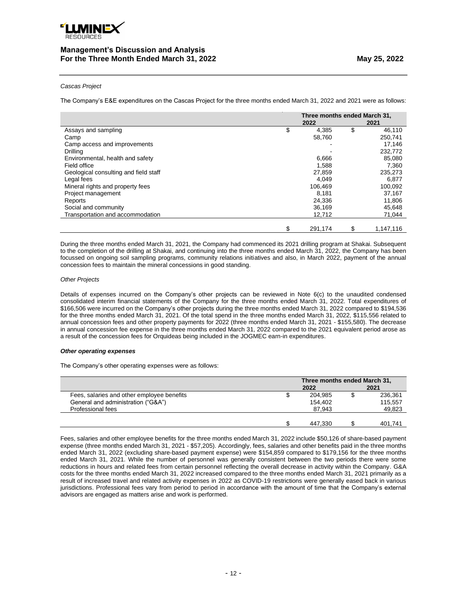

### *Cascas Project*

The Company's E&E expenditures on the Cascas Project for the three months ended March 31, 2022 and 2021 were as follows:

|                                       | Three months ended March 31,<br>2022 | 2021            |
|---------------------------------------|--------------------------------------|-----------------|
| Assays and sampling                   | \$<br>4,385                          | \$<br>46,110    |
| Camp                                  | 58,760                               | 250,741         |
| Camp access and improvements          |                                      | 17,146          |
| Drilling                              |                                      | 232,772         |
| Environmental, health and safety      | 6,666                                | 85,080          |
| Field office                          | 1,588                                | 7,360           |
| Geological consulting and field staff | 27,859                               | 235,273         |
| Legal fees                            | 4.049                                | 6.877           |
| Mineral rights and property fees      | 106,469                              | 100,092         |
| Project management                    | 8.181                                | 37.167          |
| Reports                               | 24,336                               | 11,806          |
| Social and community                  | 36,169                               | 45,648          |
| Transportation and accommodation      | 12,712                               | 71,044          |
|                                       | \$<br>291.174                        | \$<br>1.147.116 |

During the three months ended March 31, 2021, the Company had commenced its 2021 drilling program at Shakai. Subsequent to the completion of the drilling at Shakai, and continuing into the three months ended March 31, 2022, the Company has been focussed on ongoing soil sampling programs, community relations initiatives and also, in March 2022, payment of the annual concession fees to maintain the mineral concessions in good standing.

### *Other Projects*

Details of expenses incurred on the Company's other projects can be reviewed in Note 6(c) to the unaudited condensed consolidated interim financial statements of the Company for the three months ended March 31, 2022. Total expenditures of \$166,506 were incurred on the Company's other projects during the three months ended March 31, 2022 compared to \$194,536 for the three months ended March 31, 2021. Of the total spend in the three months ended March 31, 2022, \$115,556 related to annual concession fees and other property payments for 2022 (three months ended March 31, 2021 - \$155,580). The decrease in annual concession fee expense in the three months ended March 31, 2022 compared to the 2021 equivalent period arose as a result of the concession fees for Orquideas being included in the JOGMEC earn-in expenditures.

### *Other operating expenses*

The Company's other operating expenses were as follows:

|                                            | Three months ended March 31, |         |
|--------------------------------------------|------------------------------|---------|
|                                            | 2022                         | 2021    |
| Fees, salaries and other employee benefits | 204.985                      | 236.361 |
| General and administration ("G&A")         | 154.402                      | 115.557 |
| Professional fees                          | 87.943                       | 49,823  |
|                                            |                              |         |
|                                            | 447.330                      | 401.741 |

Fees, salaries and other employee benefits for the three months ended March 31, 2022 include \$50,126 of share-based payment expense (three months ended March 31, 2021 - \$57,205). Accordingly, fees, salaries and other benefits paid in the three months ended March 31, 2022 (excluding share-based payment expense) were \$154,859 compared to \$179,156 for the three months ended March 31, 2021. While the number of personnel was generally consistent between the two periods there were some reductions in hours and related fees from certain personnel reflecting the overall decrease in activity within the Company. G&A costs for the three months ended March 31, 2022 increased compared to the three months ended March 31, 2021 primarily as a result of increased travel and related activity expenses in 2022 as COVID-19 restrictions were generally eased back in various jurisdictions. Professional fees vary from period to period in accordance with the amount of time that the Company's external advisors are engaged as matters arise and work is performed.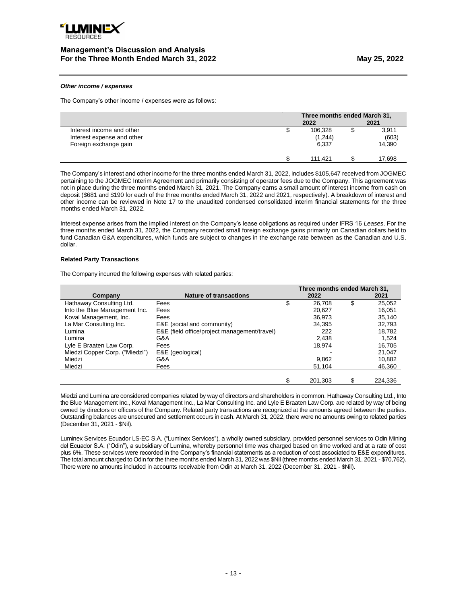

### *Other income / expenses*

The Company's other income / expenses were as follows:

|                            | Three months ended March 31, |  |        |
|----------------------------|------------------------------|--|--------|
|                            | 2022                         |  | 2021   |
| Interest income and other  | 106,328                      |  | 3,911  |
| Interest expense and other | (1,244)                      |  | (603)  |
| Foreign exchange gain      | 6.337                        |  | 14,390 |
|                            |                              |  |        |
|                            | 111.421                      |  | 17.698 |

The Company's interest and other income for the three months ended March 31, 2022, includes \$105,647 received from JOGMEC pertaining to the JOGMEC Interim Agreement and primarily consisting of operator fees due to the Company. This agreement was not in place during the three months ended March 31, 2021. The Company earns a small amount of interest income from cash on deposit (\$681 and \$190 for each of the three months ended March 31, 2022 and 2021, respectively). A breakdown of interest and other income can be reviewed in Note 17 to the unaudited condensed consolidated interim financial statements for the three months ended March 31, 2022.

Interest expense arises from the implied interest on the Company's lease obligations as required under IFRS 16 *Leases*. For the three months ended March 31, 2022, the Company recorded small foreign exchange gains primarily on Canadian dollars held to fund Canadian G&A expenditures, which funds are subject to changes in the exchange rate between as the Canadian and U.S. dollar.

### **Related Party Transactions**

The Company incurred the following expenses with related parties:

|                                |                                              | Three months ended March 31, |               |
|--------------------------------|----------------------------------------------|------------------------------|---------------|
| Company                        | <b>Nature of transactions</b>                | 2022                         | 2021          |
| Hathaway Consulting Ltd.       | Fees                                         | \$<br>26,708                 | \$<br>25,052  |
| Into the Blue Management Inc.  | Fees                                         | 20.627                       | 16,051        |
| Koval Management, Inc.         | Fees                                         | 36,973                       | 35,140        |
| La Mar Consulting Inc.         | E&E (social and community)                   | 34,395                       | 32,793        |
| Lumina                         | E&E (field office/project management/travel) | 222                          | 18,782        |
| Lumina                         | G&A                                          | 2.438                        | 1.524         |
| Lyle E Braaten Law Corp.       | Fees                                         | 18,974                       | 16,705        |
| Miedzi Copper Corp. ("Miedzi") | E&E (geological)                             |                              | 21.047        |
| Miedzi                         | G&A                                          | 9.862                        | 10,882        |
| Miedzi                         | Fees                                         | 51,104                       | 46,360        |
|                                |                                              |                              |               |
|                                |                                              | \$<br>201.303                | \$<br>224.336 |

Miedzi and Lumina are considered companies related by way of directors and shareholders in common. Hathaway Consulting Ltd., Into the Blue Management Inc., Koval Management Inc., La Mar Consulting Inc. and Lyle E Braaten Law Corp. are related by way of being owned by directors or officers of the Company. Related party transactions are recognized at the amounts agreed between the parties. Outstanding balances are unsecured and settlement occurs in cash. At March 31, 2022, there were no amounts owing to related parties (December 31, 2021 - \$Nil).

Luminex Services Ecuador LS-EC S.A. ("Luminex Services"), a wholly owned subsidiary, provided personnel services to Odin Mining del Ecuador S.A. ("Odin"), a subsidiary of Lumina, whereby personnel time was charged based on time worked and at a rate of cost plus 6%. These services were recorded in the Company's financial statements as a reduction of cost associated to E&E expenditures. The total amount charged to Odin for the three months ended March 31, 2022 was \$Nil (three months ended March 31, 2021 - \$70,762). There were no amounts included in accounts receivable from Odin at March 31, 2022 (December 31, 2021 - \$Nil).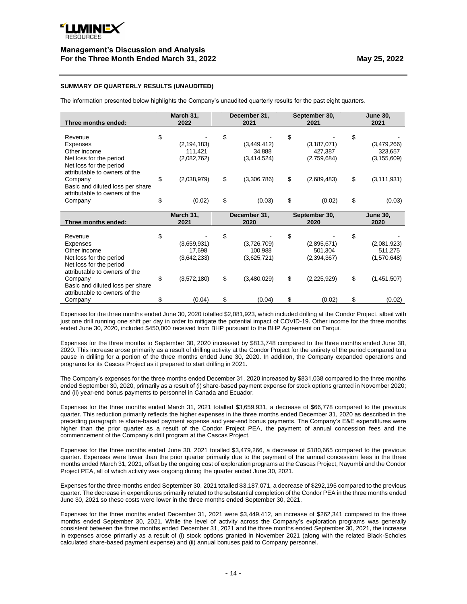

## **SUMMARY OF QUARTERLY RESULTS (UNAUDITED)**

The information presented below highlights the Company's unaudited quarterly results for the past eight quarters.

| Three months ended:                                                                                           |    | March 31,<br>2022                       | December 31,<br>2021                        | September 30,<br>2021                         | <b>June 30,</b><br>2021                       |
|---------------------------------------------------------------------------------------------------------------|----|-----------------------------------------|---------------------------------------------|-----------------------------------------------|-----------------------------------------------|
| Revenue<br>Expenses<br>Other income<br>Net loss for the period<br>Net loss for the period                     | \$ | (2, 194, 183)<br>111,421<br>(2,082,762) | \$<br>(3,449,412)<br>34.888<br>(3,414,524)  | \$<br>(3, 187, 071)<br>427,387<br>(2,759,684) | \$<br>(3,479,266)<br>323,657<br>(3, 155, 609) |
| attributable to owners of the<br>Company<br>Basic and diluted loss per share<br>attributable to owners of the | \$ | (2,038,979)                             | \$<br>(3,306,786)                           | \$<br>(2,689,483)                             | \$<br>(3, 111, 931)                           |
| Company                                                                                                       | S  | (0.02)                                  | \$<br>(0.03)                                | \$<br>(0.02)                                  | \$<br>(0.03)                                  |
| Three months ended:                                                                                           |    | March 31,<br>2021                       | December 31,<br>2020                        | September 30,<br>2020                         | <b>June 30,</b><br>2020                       |
|                                                                                                               |    |                                         |                                             |                                               |                                               |
| Revenue<br>Expenses<br>Other income<br>Net loss for the period<br>Net loss for the period                     | \$ | (3,659,931)<br>17,698<br>(3,642,233)    | \$<br>(3,726,709)<br>100,988<br>(3,625,721) | \$<br>(2,895,671)<br>501.304<br>(2,394,367)   | \$<br>(2,081,923)<br>511,275<br>(1,570,648)   |
| attributable to owners of the<br>Company<br>Basic and diluted loss per share<br>attributable to owners of the | \$ | (3,572,180)                             | \$<br>(3,480,029)                           | \$<br>(2,225,929)                             | \$<br>(1,451,507)                             |

Expenses for the three months ended June 30, 2020 totalled \$2,081,923, which included drilling at the Condor Project, albeit with just one drill running one shift per day in order to mitigate the potential impact of COVID-19. Other income for the three months ended June 30, 2020, included \$450,000 received from BHP pursuant to the BHP Agreement on Tarqui.

Expenses for the three months to September 30, 2020 increased by \$813,748 compared to the three months ended June 30, 2020. This increase arose primarily as a result of drilling activity at the Condor Project for the entirety of the period compared to a pause in drilling for a portion of the three months ended June 30, 2020. In addition, the Company expanded operations and programs for its Cascas Project as it prepared to start drilling in 2021.

The Company's expenses for the three months ended December 31, 2020 increased by \$831,038 compared to the three months ended September 30, 2020, primarily as a result of (i) share-based payment expense for stock options granted in November 2020; and (ii) year-end bonus payments to personnel in Canada and Ecuador.

Expenses for the three months ended March 31, 2021 totalled \$3,659,931, a decrease of \$66,778 compared to the previous quarter. This reduction primarily reflects the higher expenses in the three months ended December 31, 2020 as described in the preceding paragraph re share-based payment expense and year-end bonus payments. The Company's E&E expenditures were higher than the prior quarter as a result of the Condor Project PEA, the payment of annual concession fees and the commencement of the Company's drill program at the Cascas Project.

Expenses for the three months ended June 30, 2021 totalled \$3,479,266, a decrease of \$180,665 compared to the previous quarter. Expenses were lower than the prior quarter primarily due to the payment of the annual concession fees in the three months ended March 31, 2021, offset by the ongoing cost of exploration programs at the Cascas Project, Nayumbi and the Condor Project PEA, all of which activity was ongoing during the quarter ended June 30, 2021.

Expenses for the three months ended September 30, 2021 totalled \$3,187,071, a decrease of \$292,195 compared to the previous quarter. The decrease in expenditures primarily related to the substantial completion of the Condor PEA in the three months ended June 30, 2021 so these costs were lower in the three months ended September 30, 2021.

Expenses for the three months ended December 31, 2021 were \$3,449,412, an increase of \$262,341 compared to the three months ended September 30, 2021. While the level of activity across the Company's exploration programs was generally consistent between the three months ended December 31, 2021 and the three months ended September 30, 2021, the increase in expenses arose primarily as a result of (i) stock options granted in November 2021 (along with the related Black-Scholes calculated share-based payment expense) and (ii) annual bonuses paid to Company personnel.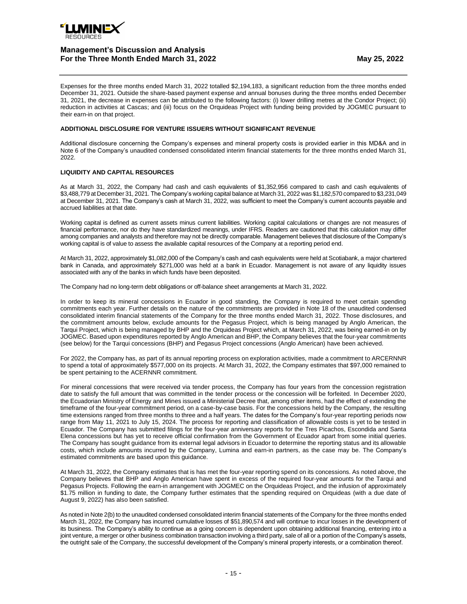

Expenses for the three months ended March 31, 2022 totalled \$2,194,183, a significant reduction from the three months ended December 31, 2021. Outside the share-based payment expense and annual bonuses during the three months ended December 31, 2021, the decrease in expenses can be attributed to the following factors: (i) lower drilling metres at the Condor Project; (ii) reduction in activities at Cascas; and (iii) focus on the Orquideas Project with funding being provided by JOGMEC pursuant to their earn-in on that project.

## **ADDITIONAL DISCLOSURE FOR VENTURE ISSUERS WITHOUT SIGNIFICANT REVENUE**

Additional disclosure concerning the Company's expenses and mineral property costs is provided earlier in this MD&A and in Note 6 of the Company's unaudited condensed consolidated interim financial statements for the three months ended March 31, 2022.

## **LIQUIDITY AND CAPITAL RESOURCES**

As at March 31, 2022, the Company had cash and cash equivalents of \$1,352,956 compared to cash and cash equivalents of \$3,488,779 at December 31, 2021. The Company's working capital balance at March 31, 2022 was \$1,182,570 compared to \$3,231,049 at December 31, 2021. The Company's cash at March 31, 2022, was sufficient to meet the Company's current accounts payable and accrued liabilities at that date.

Working capital is defined as current assets minus current liabilities. Working capital calculations or changes are not measures of financial performance, nor do they have standardized meanings, under IFRS. Readers are cautioned that this calculation may differ among companies and analysts and therefore may not be directly comparable. Management believes that disclosure of the Company's working capital is of value to assess the available capital resources of the Company at a reporting period end.

At March 31, 2022, approximately \$1,082,000 of the Company's cash and cash equivalents were held at Scotiabank, a major chartered bank in Canada, and approximately \$271,000 was held at a bank in Ecuador. Management is not aware of any liquidity issues associated with any of the banks in which funds have been deposited.

The Company had no long-term debt obligations or off-balance sheet arrangements at March 31, 2022.

In order to keep its mineral concessions in Ecuador in good standing, the Company is required to meet certain spending commitments each year. Further details on the nature of the commitments are provided in Note 18 of the unaudited condensed consolidated interim financial statements of the Company for the three months ended March 31, 2022. Those disclosures, and the commitment amounts below, exclude amounts for the Pegasus Project, which is being managed by Anglo American, the Tarqui Project, which is being managed by BHP and the Orquideas Project which, at March 31, 2022, was being earned-in on by JOGMEC. Based upon expenditures reported by Anglo American and BHP, the Company believes that the four-year commitments (see below) for the Tarqui concessions (BHP) and Pegasus Project concessions (Anglo American) have been achieved.

For 2022, the Company has, as part of its annual reporting process on exploration activities, made a commitment to ARCERNNR to spend a total of approximately \$577,000 on its projects. At March 31, 2022, the Company estimates that \$97,000 remained to be spent pertaining to the ACERNNR commitment.

For mineral concessions that were received via tender process, the Company has four years from the concession registration date to satisfy the full amount that was committed in the tender process or the concession will be forfeited. In December 2020, the Ecuadorian Ministry of Energy and Mines issued a Ministerial Decree that, among other items, had the effect of extending the timeframe of the four-year commitment period, on a case-by-case basis. For the concessions held by the Company, the resulting time extensions ranged from three months to three and a half years. The dates for the Company's four-year reporting periods now range from May 11, 2021 to July 15, 2024. The process for reporting and classification of allowable costs is yet to be tested in Ecuador. The Company has submitted filings for the four-year anniversary reports for the Tres Picachos, Escondida and Santa Elena concessions but has yet to receive official confirmation from the Government of Ecuador apart from some initial queries. The Company has sought guidance from its external legal advisors in Ecuador to determine the reporting status and its allowable costs, which include amounts incurred by the Company, Lumina and earn-in partners, as the case may be. The Company's estimated commitments are based upon this guidance.

At March 31, 2022, the Company estimates that is has met the four-year reporting spend on its concessions. As noted above, the Company believes that BHP and Anglo American have spent in excess of the required four-year amounts for the Tarqui and Pegasus Projects. Following the earn-in arrangement with JOGMEC on the Orquideas Project, and the infusion of approximately \$1.75 million in funding to date, the Company further estimates that the spending required on Orquideas (with a due date of August 9, 2022) has also been satisfied.

As noted in Note 2(b) to the unaudited condensed consolidated interim financial statements of the Company for the three months ended March 31, 2022, the Company has incurred cumulative losses of \$51,890,574 and will continue to incur losses in the development of its business. The Company's ability to continue as a going concern is dependent upon obtaining additional financing, entering into a joint venture, a merger or other business combination transaction involving a third party, sale of all or a portion of the Company's assets, the outright sale of the Company, the successful development of the Company's mineral property interests, or a combination thereof.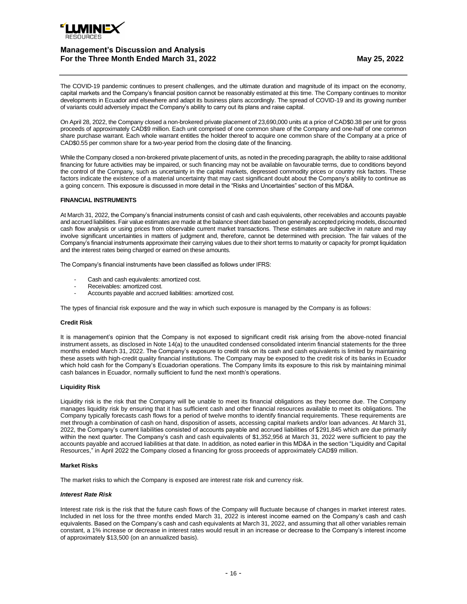

The COVID-19 pandemic continues to present challenges, and the ultimate duration and magnitude of its impact on the economy, capital markets and the Company's financial position cannot be reasonably estimated at this time. The Company continues to monitor developments in Ecuador and elsewhere and adapt its business plans accordingly. The spread of COVID-19 and its growing number of variants could adversely impact the Company's ability to carry out its plans and raise capital.

On April 28, 2022, the Company closed a non-brokered private placement of 23,690,000 units at a price of CAD\$0.38 per unit for gross proceeds of approximately CAD\$9 million. Each unit comprised of one common share of the Company and one-half of one common share purchase warrant. Each whole warrant entitles the holder thereof to acquire one common share of the Company at a price of CAD\$0.55 per common share for a two-year period from the closing date of the financing.

While the Company closed a non-brokered private placement of units, as noted in the preceding paragraph, the ability to raise additional financing for future activities may be impaired, or such financing may not be available on favourable terms, due to conditions beyond the control of the Company, such as uncertainty in the capital markets, depressed commodity prices or country risk factors. These factors indicate the existence of a material uncertainty that may cast significant doubt about the Company's ability to continue as a going concern. This exposure is discussed in more detail in the "Risks and Uncertainties" section of this MD&A.

## **FINANCIAL INSTRUMENTS**

At March 31, 2022, the Company's financial instruments consist of cash and cash equivalents, other receivables and accounts payable and accrued liabilities. Fair value estimates are made at the balance sheet date based on generally accepted pricing models, discounted cash flow analysis or using prices from observable current market transactions. These estimates are subjective in nature and may involve significant uncertainties in matters of judgment and, therefore, cannot be determined with precision. The fair values of the Company's financial instruments approximate their carrying values due to their short terms to maturity or capacity for prompt liquidation and the interest rates being charged or earned on these amounts.

The Company's financial instruments have been classified as follows under IFRS:

- Cash and cash equivalents: amortized cost.
- Receivables: amortized cost.
- Accounts payable and accrued liabilities: amortized cost.

The types of financial risk exposure and the way in which such exposure is managed by the Company is as follows:

### **Credit Risk**

It is management's opinion that the Company is not exposed to significant credit risk arising from the above-noted financial instrument assets, as disclosed in Note 14(a) to the unaudited condensed consolidated interim financial statements for the three months ended March 31, 2022. The Company's exposure to credit risk on its cash and cash equivalents is limited by maintaining these assets with high-credit quality financial institutions. The Company may be exposed to the credit risk of its banks in Ecuador which hold cash for the Company's Ecuadorian operations. The Company limits its exposure to this risk by maintaining minimal cash balances in Ecuador, normally sufficient to fund the next month's operations.

### **Liquidity Risk**

Liquidity risk is the risk that the Company will be unable to meet its financial obligations as they become due. The Company manages liquidity risk by ensuring that it has sufficient cash and other financial resources available to meet its obligations. The Company typically forecasts cash flows for a period of twelve months to identify financial requirements. These requirements are met through a combination of cash on hand, disposition of assets, accessing capital markets and/or loan advances. At March 31, 2022, the Company's current liabilities consisted of accounts payable and accrued liabilities of \$291,845 which are due primarily within the next quarter. The Company's cash and cash equivalents of \$1,352,956 at March 31, 2022 were sufficient to pay the accounts payable and accrued liabilities at that date. In addition, as noted earlier in this MD&A in the section "Liquidity and Capital Resources," in April 2022 the Company closed a financing for gross proceeds of approximately CAD\$9 million.

### **Market Risks**

The market risks to which the Company is exposed are interest rate risk and currency risk.

### *Interest Rate Risk*

Interest rate risk is the risk that the future cash flows of the Company will fluctuate because of changes in market interest rates. Included in net loss for the three months ended March 31, 2022 is interest income earned on the Company's cash and cash equivalents. Based on the Company's cash and cash equivalents at March 31, 2022, and assuming that all other variables remain constant, a 1% increase or decrease in interest rates would result in an increase or decrease to the Company's interest income of approximately \$13,500 (on an annualized basis).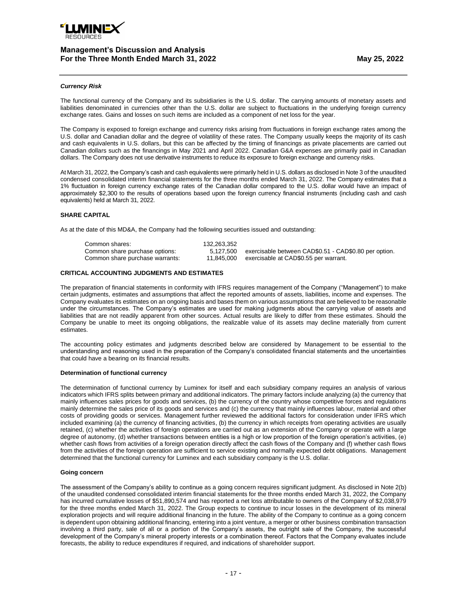

### *Currency Risk*

The functional currency of the Company and its subsidiaries is the U.S. dollar. The carrying amounts of monetary assets and liabilities denominated in currencies other than the U.S. dollar are subject to fluctuations in the underlying foreign currency exchange rates. Gains and losses on such items are included as a component of net loss for the year.

The Company is exposed to foreign exchange and currency risks arising from fluctuations in foreign exchange rates among the U.S. dollar and Canadian dollar and the degree of volatility of these rates. The Company usually keeps the majority of its cash and cash equivalents in U.S. dollars, but this can be affected by the timing of financings as private placements are carried out Canadian dollars such as the financings in May 2021 and April 2022. Canadian G&A expenses are primarily paid in Canadian dollars. The Company does not use derivative instruments to reduce its exposure to foreign exchange and currency risks.

At March 31, 2022, the Company's cash and cash equivalents were primarily held in U.S. dollars as disclosed in Note 3 of the unaudited condensed consolidated interim financial statements for the three months ended March 31, 2022. The Company estimates that a 1% fluctuation in foreign currency exchange rates of the Canadian dollar compared to the U.S. dollar would have an impact of approximately \$2,300 to the results of operations based upon the foreign currency financial instruments (including cash and cash equivalents) held at March 31, 2022.

### **SHARE CAPITAL**

As at the date of this MD&A, the Company had the following securities issued and outstanding:

| Common shares:                  | 132.263.352 |                                                       |
|---------------------------------|-------------|-------------------------------------------------------|
| Common share purchase options:  | 5.127.500   | exercisable between CAD\$0.51 - CAD\$0.80 per option. |
| Common share purchase warrants: | 11.845.000  | exercisable at CAD\$0.55 per warrant.                 |

## **CRITICAL ACCOUNTING JUDGMENTS AND ESTIMATES**

The preparation of financial statements in conformity with IFRS requires management of the Company ("Management") to make certain judgments, estimates and assumptions that affect the reported amounts of assets, liabilities, income and expenses. The Company evaluates its estimates on an ongoing basis and bases them on various assumptions that are believed to be reasonable under the circumstances. The Company's estimates are used for making judgments about the carrying value of assets and liabilities that are not readily apparent from other sources. Actual results are likely to differ from these estimates. Should the Company be unable to meet its ongoing obligations, the realizable value of its assets may decline materially from current estimates.

The accounting policy estimates and judgments described below are considered by Management to be essential to the understanding and reasoning used in the preparation of the Company's consolidated financial statements and the uncertainties that could have a bearing on its financial results.

### **Determination of functional currency**

The determination of functional currency by Luminex for itself and each subsidiary company requires an analysis of various indicators which IFRS splits between primary and additional indicators. The primary factors include analyzing (a) the currency that mainly influences sales prices for goods and services, (b) the currency of the country whose competitive forces and regulations mainly determine the sales price of its goods and services and (c) the currency that mainly influences labour, material and other costs of providing goods or services. Management further reviewed the additional factors for consideration under IFRS which included examining (a) the currency of financing activities, (b) the currency in which receipts from operating activities are usually retained, (c) whether the activities of foreign operations are carried out as an extension of the Company or operate with a large degree of autonomy, (d) whether transactions between entities is a high or low proportion of the foreign operation's activities, (e) whether cash flows from activities of a foreign operation directly affect the cash flows of the Company and (f) whether cash flows from the activities of the foreign operation are sufficient to service existing and normally expected debt obligations. Management determined that the functional currency for Luminex and each subsidiary company is the U.S. dollar.

### **Going concern**

The assessment of the Company's ability to continue as a going concern requires significant judgment. As disclosed in Note 2(b) of the unaudited condensed consolidated interim financial statements for the three months ended March 31, 2022, the Company has incurred cumulative losses of \$51,890,574 and has reported a net loss attributable to owners of the Company of \$2,038,979 for the three months ended March 31, 2022. The Group expects to continue to incur losses in the development of its mineral exploration projects and will require additional financing in the future. The ability of the Company to continue as a going concern is dependent upon obtaining additional financing, entering into a joint venture, a merger or other business combination transaction involving a third party, sale of all or a portion of the Company's assets, the outright sale of the Company, the successful development of the Company's mineral property interests or a combination thereof. Factors that the Company evaluates include forecasts, the ability to reduce expenditures if required, and indications of shareholder support.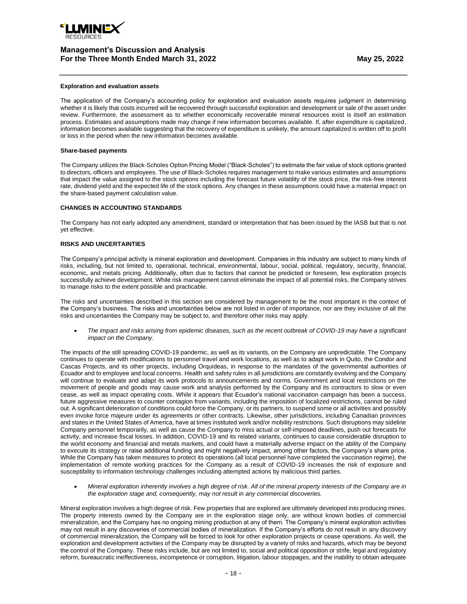

#### **Exploration and evaluation assets**

The application of the Company's accounting policy for exploration and evaluation assets requires judgment in determining whether it is likely that costs incurred will be recovered through successful exploration and development or sale of the asset under review. Furthermore, the assessment as to whether economically recoverable mineral resources exist is itself an estimation process. Estimates and assumptions made may change if new information becomes available. If, after expenditure is capitalized, information becomes available suggesting that the recovery of expenditure is unlikely, the amount capitalized is written off to profit or loss in the period when the new information becomes available.

#### **Share-based payments**

The Company utilizes the Black-Scholes Option Pricing Model ("Black-Scholes") to estimate the fair value of stock options granted to directors, officers and employees. The use of Black-Scholes requires management to make various estimates and assumptions that impact the value assigned to the stock options including the forecast future volatility of the stock price, the risk-free interest rate, dividend yield and the expected life of the stock options. Any changes in these assumptions could have a material impact on the share-based payment calculation value.

### **CHANGES IN ACCOUNTING STANDARDS**

The Company has not early adopted any amendment, standard or interpretation that has been issued by the IASB but that is not yet effective.

## **RISKS AND UNCERTAINTIES**

The Company's principal activity is mineral exploration and development. Companies in this industry are subject to many kinds of risks, including, but not limited to, operational, technical, environmental, labour, social, political, regulatory, security, financial, economic, and metals pricing. Additionally, often due to factors that cannot be predicted or foreseen, few exploration projects successfully achieve development. While risk management cannot eliminate the impact of all potential risks, the Company strives to manage risks to the extent possible and practicable.

The risks and uncertainties described in this section are considered by management to be the most important in the context of the Company's business. The risks and uncertainties below are not listed in order of importance, nor are they inclusive of all the risks and uncertainties the Company may be subject to, and therefore other risks may apply.

• *The impact and risks arising from epidemic diseases, such as the recent outbreak of COVID-19 may have a significant impact on the Company.*

The impacts of the still spreading COVID-19 pandemic, as well as its variants, on the Company are unpredictable. The Company continues to operate with modifications to personnel travel and work locations, as well as to adapt work in Quito, the Condor and Cascas Projects, and its other projects, including Orquideas, in response to the mandates of the governmental authorities of Ecuador and to employee and local concerns. Health and safety rules in all jurisdictions are constantly evolving and the Company will continue to evaluate and adapt its work protocols to announcements and norms. Government and local restrictions on the movement of people and goods may cause work and analysis performed by the Company and its contractors to slow or even cease, as well as impact operating costs. While it appears that Ecuador's national vaccination campaign has been a success, future aggressive measures to counter contagion from variants, including the imposition of localized restrictions, cannot be ruled out. A significant deterioration of conditions could force the Company, or its partners, to suspend some or all activities and possibly even invoke force majeure under its agreements or other contracts. Likewise, other jurisdictions, including Canadian provinces and states in the United States of America, have at times instituted work and/or mobility restrictions. Such disruptions may sideline Company personnel temporarily, as well as cause the Company to miss actual or self-imposed deadlines, push out forecasts for activity, and increase fiscal losses. In addition, COVID-19 and its related variants, continues to cause considerable disruption to the world economy and financial and metals markets, and could have a materially adverse impact on the ability of the Company to execute its strategy or raise additional funding and might negatively impact, among other factors, the Company's share price. While the Company has taken measures to protect its operations (all local personnel have completed the vaccination regime), the implementation of remote working practices for the Company as a result of COVID-19 increases the risk of exposure and susceptibility to information technology challenges including attempted actions by malicious third parties.

• *Mineral exploration inherently involves a high degree of risk. All of the mineral property interests of the Company are in the exploration stage and, consequently, may not result in any commercial discoveries.*

Mineral exploration involves a high degree of risk. Few properties that are explored are ultimately developed into producing mines. The property interests owned by the Company are in the exploration stage only, are without known bodies of commercial mineralization, and the Company has no ongoing mining production at any of them. The Company's mineral exploration activities may not result in any discoveries of commercial bodies of mineralization. If the Company's efforts do not result in any discovery of commercial mineralization, the Company will be forced to look for other exploration projects or cease operations. As well, the exploration and development activities of the Company may be disrupted by a variety of risks and hazards, which may be beyond the control of the Company. These risks include, but are not limited to, social and political opposition or strife, legal and regulatory reform, bureaucratic ineffectiveness, incompetence or corruption, litigation, labour stoppages, and the inability to obtain adequate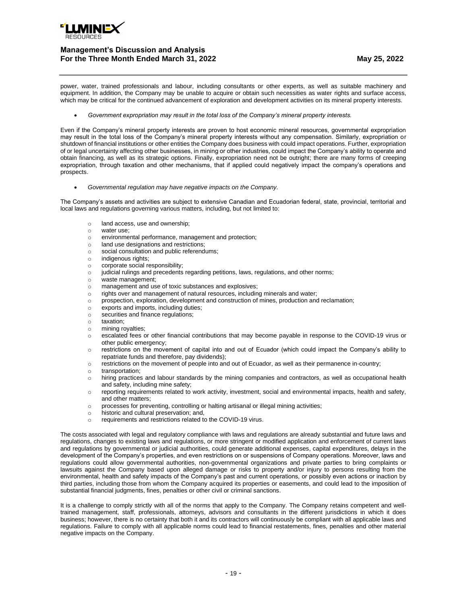

power, water, trained professionals and labour, including consultants or other experts, as well as suitable machinery and equipment. In addition, the Company may be unable to acquire or obtain such necessities as water rights and surface access, which may be critical for the continued advancement of exploration and development activities on its mineral property interests.

• *Government expropriation may result in the total loss of the Company's mineral property interests.*

Even if the Company's mineral property interests are proven to host economic mineral resources, governmental expropriation may result in the total loss of the Company's mineral property interests without any compensation. Similarly, expropriation or shutdown of financial institutions or other entities the Company does business with could impact operations. Further, expropriation of or legal uncertainty affecting other businesses, in mining or other industries, could impact the Company's ability to operate and obtain financing, as well as its strategic options. Finally, expropriation need not be outright; there are many forms of creeping expropriation, through taxation and other mechanisms, that if applied could negatively impact the company's operations and prospects.

• *Governmental regulation may have negative impacts on the Company.*

The Company's assets and activities are subject to extensive Canadian and Ecuadorian federal, state, provincial, territorial and local laws and regulations governing various matters, including, but not limited to:

- o land access, use and ownership;
- o water use;
- o environmental performance, management and protection;
- o land use designations and restrictions;
- o social consultation and public referendums;
- o indigenous rights;
- o corporate social responsibility;
- o judicial rulings and precedents regarding petitions, laws, regulations, and other norms;
- waste management;
- o management and use of toxic substances and explosives;
- o rights over and management of natural resources, including minerals and water;
- o prospection, exploration, development and construction of mines, production and reclamation;
- o exports and imports, including duties;
- o securities and finance regulations;
- o taxation;
- o mining royalties;
- o escalated fees or other financial contributions that may become payable in response to the COVID-19 virus or other public emergency;
- o restrictions on the movement of capital into and out of Ecuador (which could impact the Company's ability to repatriate funds and therefore, pay dividends);
- o restrictions on the movement of people into and out of Ecuador, as well as their permanence in-country;
- o transportation;
- o hiring practices and labour standards by the mining companies and contractors, as well as occupational health and safety, including mine safety;
- o reporting requirements related to work activity, investment, social and environmental impacts, health and safety, and other matters;
- o processes for preventing, controlling or halting artisanal or illegal mining activities;
- o historic and cultural preservation; and,
- o requirements and restrictions related to the COVID-19 virus.

The costs associated with legal and regulatory compliance with laws and regulations are already substantial and future laws and regulations, changes to existing laws and regulations, or more stringent or modified application and enforcement of current laws and regulations by governmental or judicial authorities, could generate additional expenses, capital expenditures, delays in the development of the Company's properties, and even restrictions on or suspensions of Company operations. Moreover, laws and regulations could allow governmental authorities, non-governmental organizations and private parties to bring complaints or lawsuits against the Company based upon alleged damage or risks to property and/or injury to persons resulting from the environmental, health and safety impacts of the Company's past and current operations, or possibly even actions or inaction by third parties, including those from whom the Company acquired its properties or easements, and could lead to the imposition of substantial financial judgments, fines, penalties or other civil or criminal sanctions.

It is a challenge to comply strictly with all of the norms that apply to the Company. The Company retains competent and welltrained management, staff, professionals, attorneys, advisors and consultants in the different jurisdictions in which it does business; however, there is no certainty that both it and its contractors will continuously be compliant with all applicable laws and regulations. Failure to comply with all applicable norms could lead to financial restatements, fines, penalties and other material negative impacts on the Company.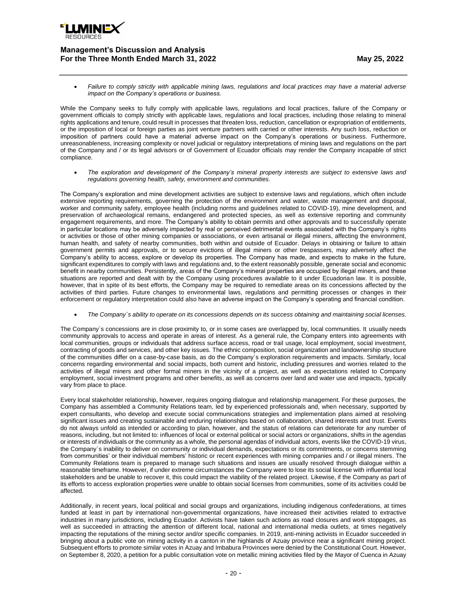

• *Failure to comply strictly with applicable mining laws, regulations and local practices may have a material adverse impact on the Company's operations or business.*

While the Company seeks to fully comply with applicable laws, regulations and local practices, failure of the Company or government officials to comply strictly with applicable laws, regulations and local practices, including those relating to mineral rights applications and tenure, could result in processes that threaten loss, reduction, cancellation or expropriation of entitlements, or the imposition of local or foreign parties as joint venture partners with carried or other interests. Any such loss, reduction or imposition of partners could have a material adverse impact on the Company's operations or business. Furthermore, unreasonableness, increasing complexity or novel judicial or regulatory interpretations of mining laws and regulations on the part of the Company and / or its legal advisors or of Government of Ecuador officials may render the Company incapable of strict compliance.

• *The exploration and development of the Company's mineral property interests are subject to extensive laws and regulations governing health, safety, environment and communities.*

The Company's exploration and mine development activities are subject to extensive laws and regulations, which often include extensive reporting requirements, governing the protection of the environment and water, waste management and disposal, worker and community safety, employee health (including norms and guidelines related to COVID-19), mine development, and preservation of archaeological remains, endangered and protected species, as well as extensive reporting and community engagement requirements, and more. The Company's ability to obtain permits and other approvals and to successfully operate in particular locations may be adversely impacted by real or perceived detrimental events associated with the Company's rights or activities or those of other mining companies or associations, or even artisanal or illegal miners, affecting the environment, human health, and safety of nearby communities, both within and outside of Ecuador. Delays in obtaining or failure to attain government permits and approvals, or to secure evictions of illegal miners or other trespassers, may adversely affect the Company's ability to access, explore or develop its properties. The Company has made, and expects to make in the future, significant expenditures to comply with laws and regulations and, to the extent reasonably possible, generate social and economic benefit in nearby communities. Persistently, areas of the Company's mineral properties are occupied by illegal miners, and these situations are reported and dealt with by the Company using procedures available to it under Ecuadorian law. It is possible, however, that in spite of its best efforts, the Company may be required to remediate areas on its concessions affected by the activities of third parties. Future changes to environmental laws, regulations and permitting processes or changes in their enforcement or regulatory interpretation could also have an adverse impact on the Company's operating and financial condition.

• *The Company´s ability to operate on its concessions depends on its success obtaining and maintaining social licenses.*

The Company´s concessions are in close proximity to, or in some cases are overlapped by, local communities. It usually needs community approvals to access and operate in areas of interest. As a general rule, the Company enters into agreements with local communities, groups or individuals that address surface access, road or trail usage, local employment, social investment, contracting of goods and services, and other key issues. The ethnic composition, social organization and landownership structure of the communities differ on a case-by-case basis, as do the Company´s exploration requirements and impacts. Similarly, local concerns regarding environmental and social impacts, both current and historic, including pressures and worries related to the activities of illegal miners and other formal miners in the vicinity of a project, as well as expectations related to Company employment, social investment programs and other benefits, as well as concerns over land and water use and impacts, typically vary from place to place.

Every local stakeholder relationship, however, requires ongoing dialogue and relationship management. For these purposes, the Company has assembled a Community Relations team, led by experienced professionals and, when necessary, supported by expert consultants, who develop and execute social communications strategies and implementation plans aimed at resolving significant issues and creating sustainable and enduring relationships based on collaboration, shared interests and trust. Events do not always unfold as intended or according to plan, however, and the status of relations can deteriorate for any number of reasons, including, but not limited to: influences of local or external political or social actors or organizations, shifts in the agendas or interests of individuals or the community as a whole, the personal agendas of individual actors, events like the COVID-19 virus, the Company´s inability to deliver on community or individual demands, expectations or its commitments, or concerns stemming from communities' or their individual members' historic or recent experiences with mining companies and / or illegal miners. The Community Relations team is prepared to manage such situations and issues are usually resolved through dialogue within a reasonable timeframe. However, if under extreme circumstances the Company were to lose its social license with influential local stakeholders and be unable to recover it, this could impact the viability of the related project. Likewise, if the Company as part of its efforts to access exploration properties were unable to obtain social licenses from communities, some of its activities could be affected.

Additionally, in recent years, local political and social groups and organizations, including indigenous confederations, at times funded at least in part by international non-governmental organizations, have increased their activities related to extractive industries in many jurisdictions, including Ecuador. Activists have taken such actions as road closures and work stoppages, as well as succeeded in attracting the attention of different local, national and international media outlets, at times negatively impacting the reputations of the mining sector and/or specific companies. In 2019, anti-mining activists in Ecuador succeeded in bringing about a public vote on mining activity in a canton in the highlands of Azuay province near a significant mining project. Subsequent efforts to promote similar votes in Azuay and Imbabura Provinces were denied by the Constitutional Court. However, on September 8, 2020, a petition for a public consultation vote on metallic mining activities filed by the Mayor of Cuenca in Azuay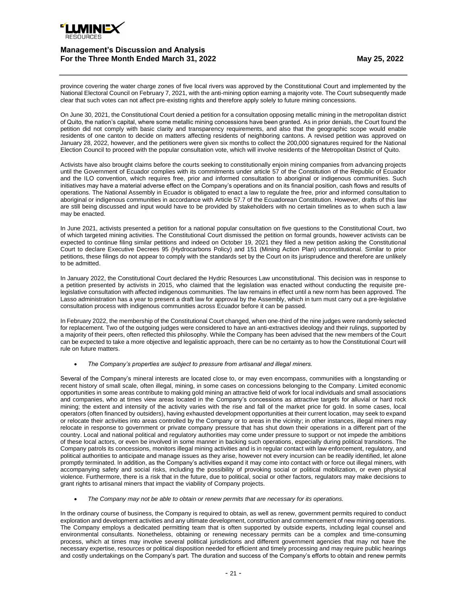

province covering the water charge zones of five local rivers was approved by the Constitutional Court and implemented by the National Electoral Council on February 7, 2021, with the anti-mining option earning a majority vote. The Court subsequently made clear that such votes can not affect pre-existing rights and therefore apply solely to future mining concessions.

On June 30, 2021, the Constitutional Court denied a petition for a consultation opposing metallic mining in the metropolitan district of Quito, the nation's capital, where some metallic mining concessions have been granted. As in prior denials, the Court found the petition did not comply with basic clarity and transparency requirements, and also that the geographic scope would enable residents of one canton to decide on matters affecting residents of neighboring cantons. A revised petition was approved on January 28, 2022, however, and the petitioners were given six months to collect the 200,000 signatures required for the National Election Council to proceed with the popular consultation vote, which will involve residents of the Metropolitan District of Quito.

Activists have also brought claims before the courts seeking to constitutionally enjoin mining companies from advancing projects until the Government of Ecuador complies with its commitments under article 57 of the Constitution of the Republic of Ecuador and the ILO convention, which requires free, prior and informed consultation to aboriginal or indigenous communities. Such initiatives may have a material adverse effect on the Company's operations and on its financial position, cash flows and results of operations. The National Assembly in Ecuador is obligated to enact a law to regulate the free, prior and informed consultation to aboriginal or indigenous communities in accordance with Article 57.7 of the Ecuadorean Constitution. However, drafts of this law are still being discussed and input would have to be provided by stakeholders with no certain timelines as to when such a law may be enacted.

In June 2021, activists presented a petition for a national popular consultation on five questions to the Constitutional Court, two of which targeted mining activities. The Constitutional Court dismissed the petition on formal grounds, however activists can be expected to continue filing similar petitions and indeed on October 19, 2021 they filed a new petition asking the Constitutional Court to declare Executive Decrees 95 (Hydrocarbons Policy) and 151 (Mining Action Plan) unconstitutional. Similar to prior petitions, these filings do not appear to comply with the standards set by the Court on its jurisprudence and therefore are unlikely to be admitted.

In January 2022, the Constitutional Court declared the Hydric Resources Law unconstitutional. This decision was in response to a petition presented by activists in 2015, who claimed that the legislation was enacted without conducting the requisite prelegislative consultation with affected indigenous communities. The law remains in effect until a new norm has been approved. The Lasso administration has a year to present a draft law for approval by the Assembly, which in turn must carry out a pre-legislative consultation process with indigenous communities across Ecuador before it can be passed.

In February 2022, the membership of the Constitutional Court changed, when one-third of the nine judges were randomly selected for replacement. Two of the outgoing judges were considered to have an anti-extractives ideology and their rulings, supported by a majority of their peers, often reflected this philosophy. While the Company has been advised that the new members of the Court can be expected to take a more objective and legalistic approach, there can be no certainty as to how the Constitutional Court will rule on future matters.

• *The Company's properties are subject to pressure from artisanal and illegal miners.*

Several of the Company's mineral interests are located close to, or may even encompass, communities with a longstanding or recent history of small scale, often illegal, mining, in some cases on concessions belonging to the Company. Limited economic opportunities in some areas contribute to making gold mining an attractive field of work for local individuals and small associations and companies, who at times view areas located in the Company's concessions as attractive targets for alluvial or hard rock mining; the extent and intensity of the activity varies with the rise and fall of the market price for gold. In some cases, local operators (often financed by outsiders), having exhausted development opportunities at their current location, may seek to expand or relocate their activities into areas controlled by the Company or to areas in the vicinity; in other instances, illegal miners may relocate in response to government or private company pressure that has shut down their operations in a different part of the country. Local and national political and regulatory authorities may come under pressure to support or not impede the ambitions of these local actors, or even be involved in some manner in backing such operations, especially during political transitions. The Company patrols its concessions, monitors illegal mining activities and is in regular contact with law enforcement, regulatory, and political authorities to anticipate and manage issues as they arise, however not every incursion can be readily identified, let alone promptly terminated. In addition, as the Company's activities expand it may come into contact with or force out illegal miners, with accompanying safety and social risks, including the possibility of provoking social or political mobilization, or even physical violence. Furthermore, there is a risk that in the future, due to political, social or other factors, regulators may make decisions to grant rights to artisanal miners that impact the viability of Company projects.

• *The Company may not be able to obtain or renew permits that are necessary for its operations.*

In the ordinary course of business, the Company is required to obtain, as well as renew, government permits required to conduct exploration and development activities and any ultimate development, construction and commencement of new mining operations. The Company employs a dedicated permitting team that is often supported by outside experts, including legal counsel and environmental consultants. Nonetheless, obtaining or renewing necessary permits can be a complex and time-consuming process, which at times may involve several political jurisdictions and different government agencies that may not have the necessary expertise, resources or political disposition needed for efficient and timely processing and may require public hearings and costly undertakings on the Company's part. The duration and success of the Company's efforts to obtain and renew permits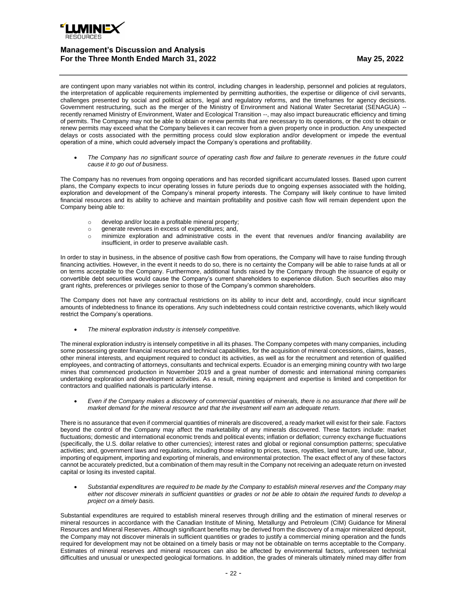

are contingent upon many variables not within its control, including changes in leadership, personnel and policies at regulators, the interpretation of applicable requirements implemented by permitting authorities, the expertise or diligence of civil servants, challenges presented by social and political actors, legal and regulatory reforms, and the timeframes for agency decisions. Government restructuring, such as the merger of the Ministry of Environment and National Water Secretariat (SENAGUA) - recently renamed Ministry of Environment, Water and Ecological Transition --, may also impact bureaucratic efficiency and timing of permits. The Company may not be able to obtain or renew permits that are necessary to its operations, or the cost to obtain or renew permits may exceed what the Company believes it can recover from a given property once in production. Any unexpected delays or costs associated with the permitting process could slow exploration and/or development or impede the eventual operation of a mine, which could adversely impact the Company's operations and profitability.

• *The Company has no significant source of operating cash flow and failure to generate revenues in the future could cause it to go out of business.* 

The Company has no revenues from ongoing operations and has recorded significant accumulated losses. Based upon current plans, the Company expects to incur operating losses in future periods due to ongoing expenses associated with the holding, exploration and development of the Company's mineral property interests. The Company will likely continue to have limited financial resources and its ability to achieve and maintain profitability and positive cash flow will remain dependent upon the Company being able to:

- o develop and/or locate a profitable mineral property;
- o generate revenues in excess of expenditures; and,
- o minimize exploration and administrative costs in the event that revenues and/or financing availability are insufficient, in order to preserve available cash.

In order to stay in business, in the absence of positive cash flow from operations, the Company will have to raise funding through financing activities. However, in the event it needs to do so, there is no certainty the Company will be able to raise funds at all or on terms acceptable to the Company. Furthermore, additional funds raised by the Company through the issuance of equity or convertible debt securities would cause the Company's current shareholders to experience dilution. Such securities also may grant rights, preferences or privileges senior to those of the Company's common shareholders.

The Company does not have any contractual restrictions on its ability to incur debt and, accordingly, could incur significant amounts of indebtedness to finance its operations. Any such indebtedness could contain restrictive covenants, which likely would restrict the Company's operations.

• *The mineral exploration industry is intensely competitive.*

The mineral exploration industry is intensely competitive in all its phases. The Company competes with many companies, including some possessing greater financial resources and technical capabilities, for the acquisition of mineral concessions, claims, leases, other mineral interests, and equipment required to conduct its activities, as well as for the recruitment and retention of qualified employees, and contracting of attorneys, consultants and technical experts. Ecuador is an emerging mining country with two large mines that commenced production in November 2019 and a great number of domestic and international mining companies undertaking exploration and development activities. As a result, mining equipment and expertise is limited and competition for contractors and qualified nationals is particularly intense.

• *Even if the Company makes a discovery of commercial quantities of minerals, there is no assurance that there will be market demand for the mineral resource and that the investment will earn an adequate return.*

There is no assurance that even if commercial quantities of minerals are discovered, a ready market will exist for their sale. Factors beyond the control of the Company may affect the marketability of any minerals discovered. These factors include: market fluctuations; domestic and international economic trends and political events; inflation or deflation; currency exchange fluctuations (specifically, the U.S. dollar relative to other currencies); interest rates and global or regional consumption patterns; speculative activities; and, government laws and regulations, including those relating to prices, taxes, royalties, land tenure, land use, labour, importing of equipment, importing and exporting of minerals, and environmental protection. The exact effect of any of these factors cannot be accurately predicted, but a combination of them may result in the Company not receiving an adequate return on invested capital or losing its invested capital.

• *Substantial expenditures are required to be made by the Company to establish mineral reserves and the Company may either not discover minerals in sufficient quantities or grades or not be able to obtain the required funds to develop a project on a timely basis.*

Substantial expenditures are required to establish mineral reserves through drilling and the estimation of mineral reserves or mineral resources in accordance with the Canadian Institute of Mining, Metallurgy and Petroleum (CIM) Guidance for Mineral Resources and Mineral Reserves. Although significant benefits may be derived from the discovery of a major mineralized deposit, the Company may not discover minerals in sufficient quantities or grades to justify a commercial mining operation and the funds required for development may not be obtained on a timely basis or may not be obtainable on terms acceptable to the Company. Estimates of mineral reserves and mineral resources can also be affected by environmental factors, unforeseen technical difficulties and unusual or unexpected geological formations. In addition, the grades of minerals ultimately mined may differ from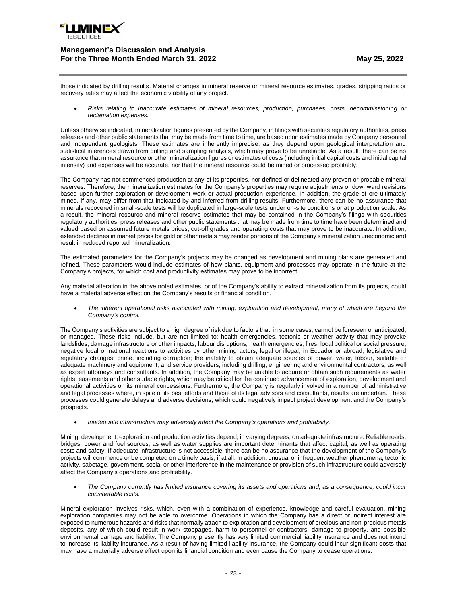

those indicated by drilling results. Material changes in mineral reserve or mineral resource estimates, grades, stripping ratios or recovery rates may affect the economic viability of any project.

• *Risks relating to inaccurate estimates of mineral resources, production, purchases, costs, decommissioning or reclamation expenses.*

Unless otherwise indicated, mineralization figures presented by the Company, in filings with securities regulatory authorities, press releases and other public statements that may be made from time to time, are based upon estimates made by Company personnel and independent geologists. These estimates are inherently imprecise, as they depend upon geological interpretation and statistical inferences drawn from drilling and sampling analysis, which may prove to be unreliable. As a result, there can be no assurance that mineral resource or other mineralization figures or estimates of costs (including initial capital costs and initial capital intensity) and expenses will be accurate, nor that the mineral resource could be mined or processed profitably.

The Company has not commenced production at any of its properties, nor defined or delineated any proven or probable mineral reserves. Therefore, the mineralization estimates for the Company's properties may require adjustments or downward revisions based upon further exploration or development work or actual production experience. In addition, the grade of ore ultimately mined, if any, may differ from that indicated by and inferred from drilling results. Furthermore, there can be no assurance that minerals recovered in small-scale tests will be duplicated in large-scale tests under on-site conditions or at production scale. As a result, the mineral resource and mineral reserve estimates that may be contained in the Company's filings with securities regulatory authorities, press releases and other public statements that may be made from time to time have been determined and valued based on assumed future metals prices, cut-off grades and operating costs that may prove to be inaccurate. In addition, extended declines in market prices for gold or other metals may render portions of the Company's mineralization uneconomic and result in reduced reported mineralization.

The estimated parameters for the Company's projects may be changed as development and mining plans are generated and refined. These parameters would include estimates of how plants, equipment and processes may operate in the future at the Company's projects, for which cost and productivity estimates may prove to be incorrect.

Any material alteration in the above noted estimates, or of the Company's ability to extract mineralization from its projects, could have a material adverse effect on the Company's results or financial condition.

• *The inherent operational risks associated with mining, exploration and development, many of which are beyond the Company's control.*

The Company's activities are subject to a high degree of risk due to factors that, in some cases, cannot be foreseen or anticipated, or managed. These risks include, but are not limited to: health emergencies, tectonic or weather activity that may provoke landslides, damage infrastructure or other impacts; labour disruptions; health emergencies; fires; local political or social pressure; negative local or national reactions to activities by other mining actors, legal or illegal, in Ecuador or abroad; legislative and regulatory changes; crime, including corruption; the inability to obtain adequate sources of power, water, labour, suitable or adequate machinery and equipment, and service providers, including drilling, engineering and environmental contractors, as well as expert attorneys and consultants. In addition, the Company may be unable to acquire or obtain such requirements as water rights, easements and other surface rights, which may be critical for the continued advancement of exploration, development and operational activities on its mineral concessions. Furthermore, the Company is regularly involved in a number of administrative and legal processes where, in spite of its best efforts and those of its legal advisors and consultants, results are uncertain. These processes could generate delays and adverse decisions, which could negatively impact project development and the Company's prospects.

• *Inadequate infrastructure may adversely affect the Company's operations and profitability.*

Mining, development, exploration and production activities depend, in varying degrees, on adequate infrastructure. Reliable roads, bridges, power and fuel sources, as well as water supplies are important determinants that affect capital, as well as operating costs and safety. If adequate infrastructure is not accessible, there can be no assurance that the development of the Company's projects will commence or be completed on a timely basis, if at all. In addition, unusual or infrequent weather phenomena, tectonic activity, sabotage, government, social or other interference in the maintenance or provision of such infrastructure could adversely affect the Company's operations and profitability.

• *The Company currently has limited insurance covering its assets and operations and, as a consequence, could incur considerable costs.*

Mineral exploration involves risks, which, even with a combination of experience, knowledge and careful evaluation, mining exploration companies may not be able to overcome. Operations in which the Company has a direct or indirect interest are exposed to numerous hazards and risks that normally attach to exploration and development of precious and non-precious metals deposits, any of which could result in work stoppages, harm to personnel or contractors, damage to property, and possible environmental damage and liability. The Company presently has very limited commercial liability insurance and does not intend to increase its liability insurance. As a result of having limited liability insurance, the Company could incur significant costs that may have a materially adverse effect upon its financial condition and even cause the Company to cease operations.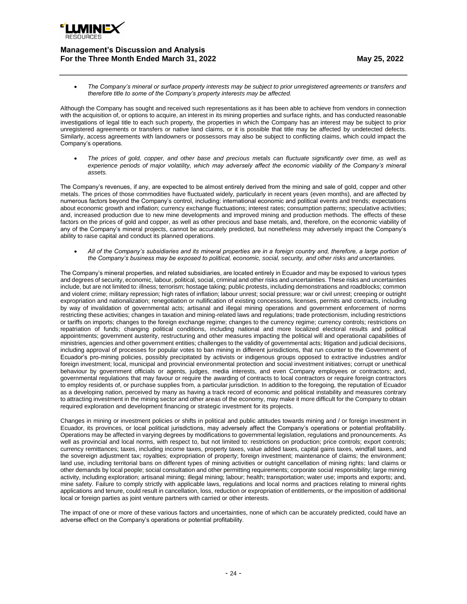

• *The Company's mineral or surface property interests may be subject to prior unregistered agreements or transfers and therefore title to some of the Company's property interests may be affected.*

Although the Company has sought and received such representations as it has been able to achieve from vendors in connection with the acquisition of, or options to acquire, an interest in its mining properties and surface rights, and has conducted reasonable investigations of legal title to each such property, the properties in which the Company has an interest may be subject to prior unregistered agreements or transfers or native land claims, or it is possible that title may be affected by undetected defects. Similarly, access agreements with landowners or possessors may also be subject to conflicting claims, which could impact the Company's operations.

• *The prices of gold, copper, and other base and precious metals can fluctuate significantly over time, as well as experience periods of major volatility, which may adversely affect the economic viability of the Company's mineral assets.*

The Company's revenues, if any, are expected to be almost entirely derived from the mining and sale of gold, copper and other metals. The prices of those commodities have fluctuated widely, particularly in recent years (even months), and are affected by numerous factors beyond the Company's control, including: international economic and political events and trends; expectations about economic growth and inflation; currency exchange fluctuations; interest rates; consumption patterns; speculative activities; and, increased production due to new mine developments and improved mining and production methods. The effects of these factors on the prices of gold and copper, as well as other precious and base metals, and, therefore, on the economic viability of any of the Company's mineral projects, cannot be accurately predicted, but nonetheless may adversely impact the Company's ability to raise capital and conduct its planned operations.

• *All of the Company's subsidiaries and its mineral properties are in a foreign country and, therefore, a large portion of the Company's business may be exposed to political, economic, social, security, and other risks and uncertainties.*

The Company's mineral properties, and related subsidiaries, are located entirely in Ecuador and may be exposed to various types and degrees of security, economic, labour, political, social, criminal and other risks and uncertainties. These risks and uncertainties include, but are not limited to: illness; terrorism; hostage taking; public protests, including demonstrations and roadblocks; common and violent crime; military repression; high rates of inflation; labour unrest; social pressure; war or civil unrest; creeping or outright expropriation and nationalization; renegotiation or nullification of existing concessions, licenses, permits and contracts, including by way of invalidation of governmental acts; artisanal and illegal mining operations and government enforcement of norms restricting these activities; changes in taxation and mining-related laws and regulations; trade protectionism, including restrictions or tariffs on imports; changes to the foreign exchange regime; changes to the currency regime; currency controls; restrictions on repatriation of funds; changing political conditions, including national and more localized electoral results and political appointments; government austerity, restructuring and other measures impacting the political will and operational capabilities of ministries, agencies and other government entities; challenges to the validity of governmental acts; litigation and judicial decisions, including approval of processes for popular votes to ban mining in different jurisdictions, that run counter to the Government of Ecuador's pro-mining policies, possibly precipitated by activists or indigenous groups opposed to extractive industries and/or foreign investment; local, municipal and provincial environmental protection and social investment initiatives; corrupt or unethical behaviour by government officials or agents, judges, media interests, and even Company employees or contractors; and, governmental regulations that may favour or require the awarding of contracts to local contractors or require foreign contractors to employ residents of, or purchase supplies from, a particular jurisdiction. In addition to the foregoing, the reputation of Ecuador as a developing nation, perceived by many as having a track record of economic and political instability and measures contrary to attracting investment in the mining sector and other areas of the economy, may make it more difficult for the Company to obtain required exploration and development financing or strategic investment for its projects.

Changes in mining or investment policies or shifts in political and public attitudes towards mining and / or foreign investment in Ecuador, its provinces, or local political jurisdictions, may adversely affect the Company's operations or potential profitability. Operations may be affected in varying degrees by modifications to governmental legislation, regulations and pronouncements. As well as provincial and local norms, with respect to, but not limited to: restrictions on production; price controls; export controls; currency remittances; taxes, including income taxes, property taxes, value added taxes, capital gains taxes, windfall taxes, and the sovereign adjustment tax; royalties; expropriation of property; foreign investment; maintenance of claims; the environment; land use, including territorial bans on different types of mining activities or outright cancellation of mining rights; land claims or other demands by local people; social consultation and other permitting requirements; corporate social responsibility; large mining activity, including exploration; artisanal mining; illegal mining; labour; health; transportation; water use; imports and exports; and, mine safety. Failure to comply strictly with applicable laws, regulations and local norms and practices relating to mineral rights applications and tenure, could result in cancellation, loss, reduction or expropriation of entitlements, or the imposition of additional local or foreign parties as joint venture partners with carried or other interests.

The impact of one or more of these various factors and uncertainties, none of which can be accurately predicted, could have an adverse effect on the Company's operations or potential profitability.